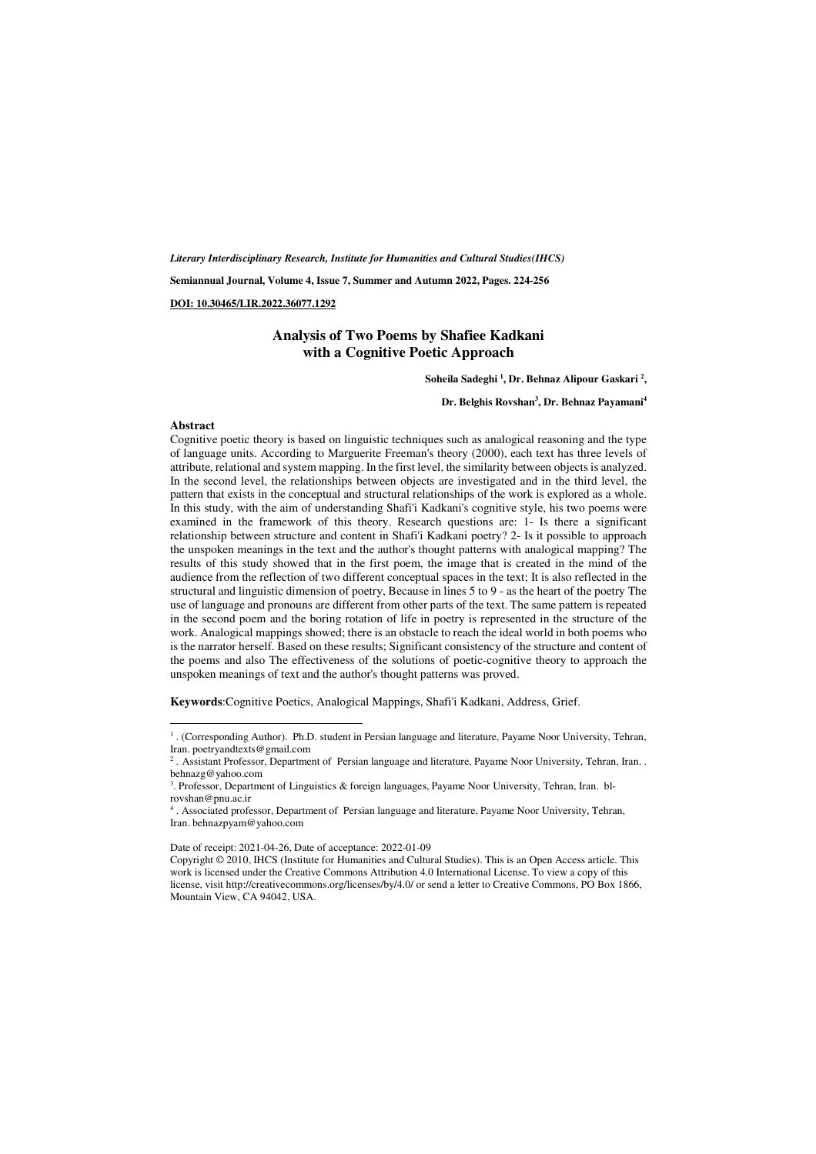*Literary Interdisciplinary Research, Institute for Humanities and Cultural Studies(IHCS)* 

**Semiannual Journal, Volume 4, Issue 7, Summer and Autumn 2022, Pages. 224-256** 

**DOI: 10.30465/LIR.2022.36077.1292** 

#### **Analysis of Two Poems by Shafiee Kadkani with a Cognitive Poetic Approach**

**Soheila Sadeghi <sup>1</sup> , Dr. Behnaz Alipour Gaskari <sup>2</sup> ,** 

#### **Dr. Belghis Rovshan<sup>3</sup> , Dr. Behnaz Payamani<sup>4</sup>**

#### **Abstract**

 $\overline{a}$ 

Cognitive poetic theory is based on linguistic techniques such as analogical reasoning and the type of language units. According to Marguerite Freeman's theory (2000), each text has three levels of attribute, relational and system mapping. In the first level, the similarity between objects is analyzed. In the second level, the relationships between objects are investigated and in the third level, the pattern that exists in the conceptual and structural relationships of the work is explored as a whole. In this study, with the aim of understanding Shafi'i Kadkani's cognitive style, his two poems were examined in the framework of this theory. Research questions are: 1- Is there a significant relationship between structure and content in Shafi'i Kadkani poetry? 2- Is it possible to approach the unspoken meanings in the text and the author's thought patterns with analogical mapping? The results of this study showed that in the first poem, the image that is created in the mind of the audience from the reflection of two different conceptual spaces in the text; It is also reflected in the structural and linguistic dimension of poetry, Because in lines 5 to 9 - as the heart of the poetry The use of language and pronouns are different from other parts of the text. The same pattern is repeated in the second poem and the boring rotation of life in poetry is represented in the structure of the work. Analogical mappings showed; there is an obstacle to reach the ideal world in both poems who is the narrator herself. Based on these results; Significant consistency of the structure and content of the poems and also The effectiveness of the solutions of poetic-cognitive theory to approach the unspoken meanings of text and the author's thought patterns was proved.

**Keywords**:Cognitive Poetics, Analogical Mappings, Shafi'i Kadkani, Address, Grief.

Date of receipt: 2021-04-26, Date of acceptance: 2022-01-09

<sup>1</sup> . (Corresponding Author). Ph.D. student in Persian language and literature, Payame Noor University, Tehran, Iran. poetryandtexts@gmail.com

<sup>2</sup> . Assistant Professor, Department of Persian language and literature, Payame Noor University, Tehran, Iran. . behnazg@yahoo.com

<sup>3</sup> . Professor, Department of Linguistics & foreign languages, Payame Noor University, Tehran, Iran. blrovshan@pnu.ac.ir

<sup>4</sup> . Associated professor, Department of Persian language and literature, Payame Noor University, Tehran, Iran. behnazpyam@yahoo.com

Copyright © 2010, IHCS (Institute for Humanities and Cultural Studies). This is an Open Access article. This work is licensed under the Creative Commons Attribution 4.0 International License. To view a copy of this license, visit http://creativecommons.org/licenses/by/4.0/ or send a letter to Creative Commons, PO Box 1866, Mountain View, CA 94042, USA.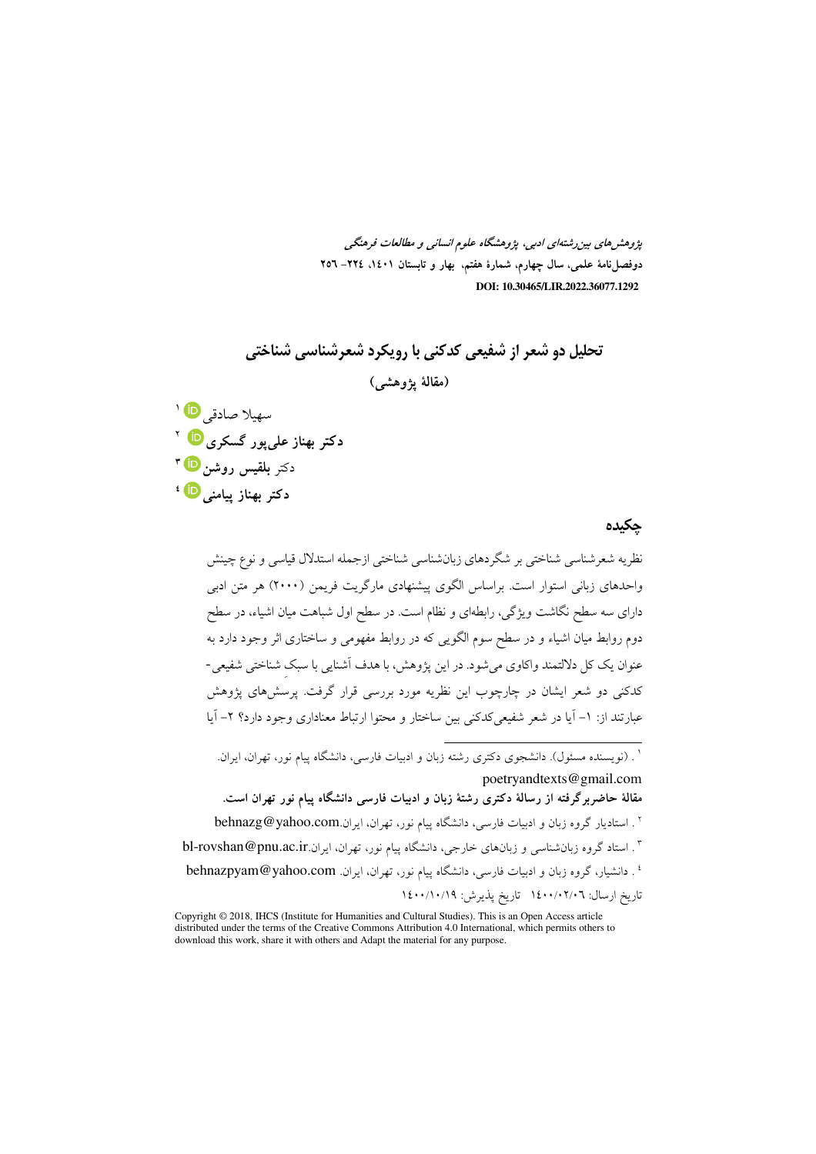پژوهشرهای بین رشتهای ادبی، پژوهشگاه علوم انسانی و مطالعات فرهنگی دوفصلiامهٔ علمی، سال چهارم، شمارهٔ هفتم، بهار و تابستان ۱٤٠۱، ۲۲٤– ۲**۰**۲  **DOI: 10.30465/LIR.2022.36077.1292**

**تحلیل دو شعر از شفیعی کدکنی با رویکرد شعرشناسی شناختی** (مقالهٔ پژوهش*ی*) سهيلا صادقي <mark>©</mark> ا **دکتر بهناز عل<sub>ی</sub>پور گسکری <sup>10 ۲</sup> د**کتر **بلقیس روشن <sup>10</sup> " دکتر بهناز پیامنی <mark>『</mark> '** 

### چکیده

نظریه شعرشناسی شناختی بر شگردهای زبانشناسی شناختی ازجمله استدلال قیاسی و نوع چینش واحدهای زبانی استوار است. براساس الگوی پیشنهادی مارگریت فریمن (۲۰۰۰) هر متن ادبی دارای سه سطح نگاشت ویژگی، رابطهای و نظام است. در سطح اول شباهت میان اشیاء، در سطح دوم روابط میان اشیاء و در سطح سوم الگویی که در روابط مفهومی و ساختاری اثر وجود دارد به عنوان یک کل دلالتمند واکاوی میشود. در این پژوهش، با هدف آشنایی با سبک شناختی شفیعی-کدکنی دو شعر ایشان در چارچوب این نظریه مورد بررسی قرار گرفت. پرسشهای پژوهش عبارتند از: ١– ایا در شعر شفیعیکدکنی بین ساختار و محتوا ارتباط معناداری وجود دارد؟ ٢– ایا

 $\overline{a}$ 

<sup>&#</sup>x27; . (نویسنده مسئول). دانشجوی دکتری رشته زبان و ادبیات فارسی، دانشگاه پیام نور، تهران، ایران. poetryandtexts@gmail.com مقالهٔ حاضربرگرفته از رسالهٔ دکتری رشتهٔ زبان و ادبیات فارسی دانشگاه پیام نور تهران است.  $\mathrm{behnazg}@yahoo.com$ ا . استادیار گروه زبان و ادبیات فارسی، دانشگاه پیام نور، تهران، ایران. . ۳ . استاد گروه زبانشناسی و زبانهای خارجی، دانشگاه پیام نور، تهران، ایران.bl-rovshan@pnu.ac.ir <sup>،</sup> ـ دانشیار، گروه زبان و ادبیات فارسی، دانشگاه پیام نور، تهران، ایران. behnazpyam@yahoo.com تاريخ ارسال: ١٤٠٠/٠٢/٠٦ تاريخ يذيرش: ١٤٠٠/١٠/١٩

Copyright © 2018, IHCS (Institute for Humanities and Cultural Studies). This is an Open Access article distributed under the terms of the Creative Commons Attribution 4.0 International, which permits others to download this work, share it with others and Adapt the material for any purpose.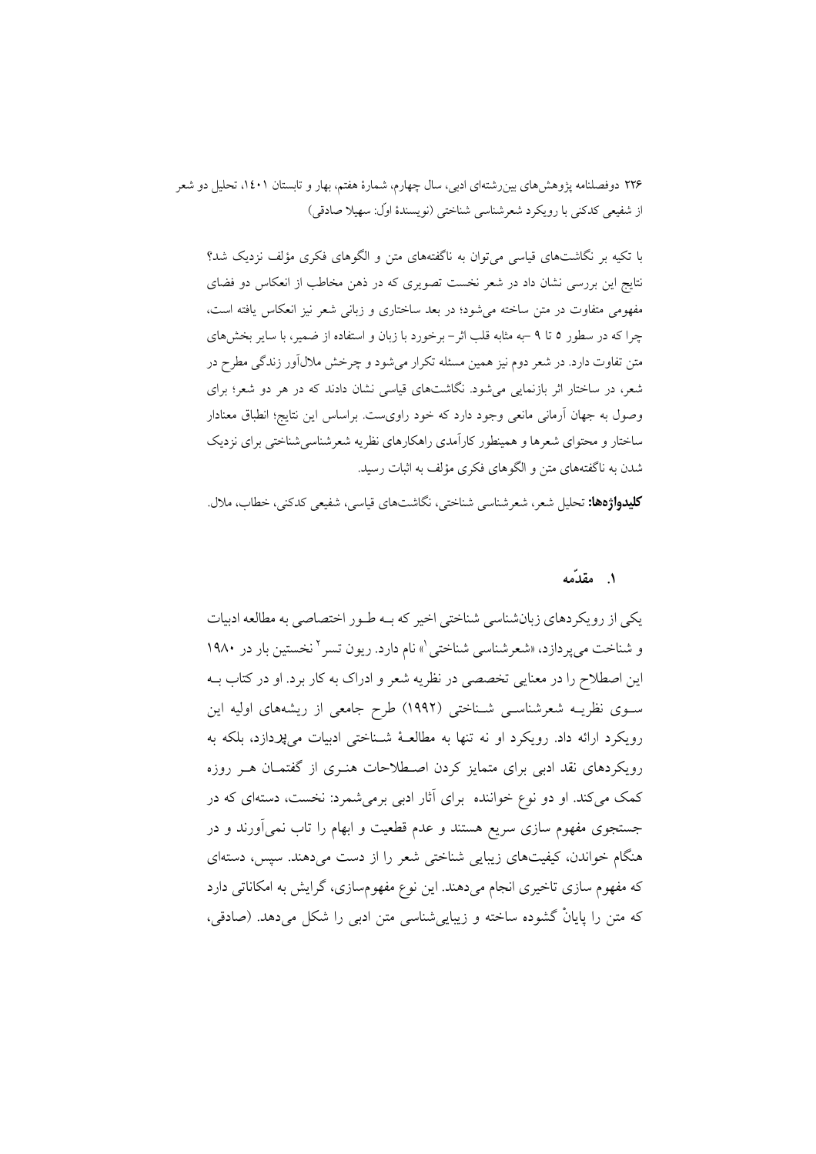با تکبه بر نگاشتهای قیاسی می توان به ناگفتههای متن و الگوهای فکری مؤلف نزدیک شد؟ نتایج این بررسی نشان داد در شعر نخست تصویری که در ذهن مخاطب از انعکاس دو فضای مفهومی متفاوت در متن ساخته می شود؛ در بعد ساختاری و زبانی شعر نیز انعکاس یافته است، چرا که در سطور ٥ تا ٩ –به مثابه قلب اثر– برخورد با زبان و استفاده از ضمیر، با سایر بخشهای متن تفاوت دارد. در شعر دوم نیز همین مسئله تکرار می شود و چرخش ملالآور زندگی مطرح در شعر، در ساختار اثر بازنمایی میشود. نگاشتهای قیاسی نشان دادند که در هر دو شعر؛ برای وصول به جهان آرمانی مانعی وجود دارد که خود راویست. براساس این نتایج؛ انطباق معنادار ساختار و محتوای شعرها و همینطور کارآمدی راهکارهای نظریه شعرشناسیشناختی برای نزدیک شدن به ناگفتههای متن و الگوهای فکری مؤلف به اثبات رسید.

**كليدواژهها:** تحليل شعر، شعر شناسي شناختي، نگاشتهاي قياسي، شفيعي كدكني، خطاب، ملال.

### ۱. مقدّمه

یکی از رویکردهای زبانشناسی شناختی اخیر که بـه طـور اختصاصی به مطالعه ادبیات و شناخت می پر دازد، «شعر شناسی شناختی \» نام دارد. ریون تسر ` نخستین بار در ۱۹۸۰ این اصطلاح را در معنایی تخصصی در نظریه شعر و ادراک به کار برد. او در کتاب بــه سـوی نظریــه شعرشناســی شــناختـی (۱۹۹۲) طرح جامعی از ریشههای اولیه این رویکرد ارائه داد. رویکرد او نه تنها به مطالعـهٔ شـناختی ادبیات میپردازد، بلکه به رویکردهای نقد ادبی برای متمایز کردن اصطلاحات هنـری از گفتمـان هـر روزه کمک میکند. او دو نوع خواننده برای آثار ادبی برمیشمرد: نخست، دستهای که در جستجوی مفهوم سازی سریع هستند و عدم قطعیت و ابهام را تاب نمیآورند و در هنگام خواندن، کیفیتهای زیبایی شناختی شعر را از دست میدهند. سپس، دستهای که مفهوم سازی تاخیری انجام میدهند. این نوع مفهومسازی، گرایش به امکاناتی دارد که متن را پایانْ گشوده ساخته و زیباییشناسی متن ادبی را شکل میدهد. (صادقی،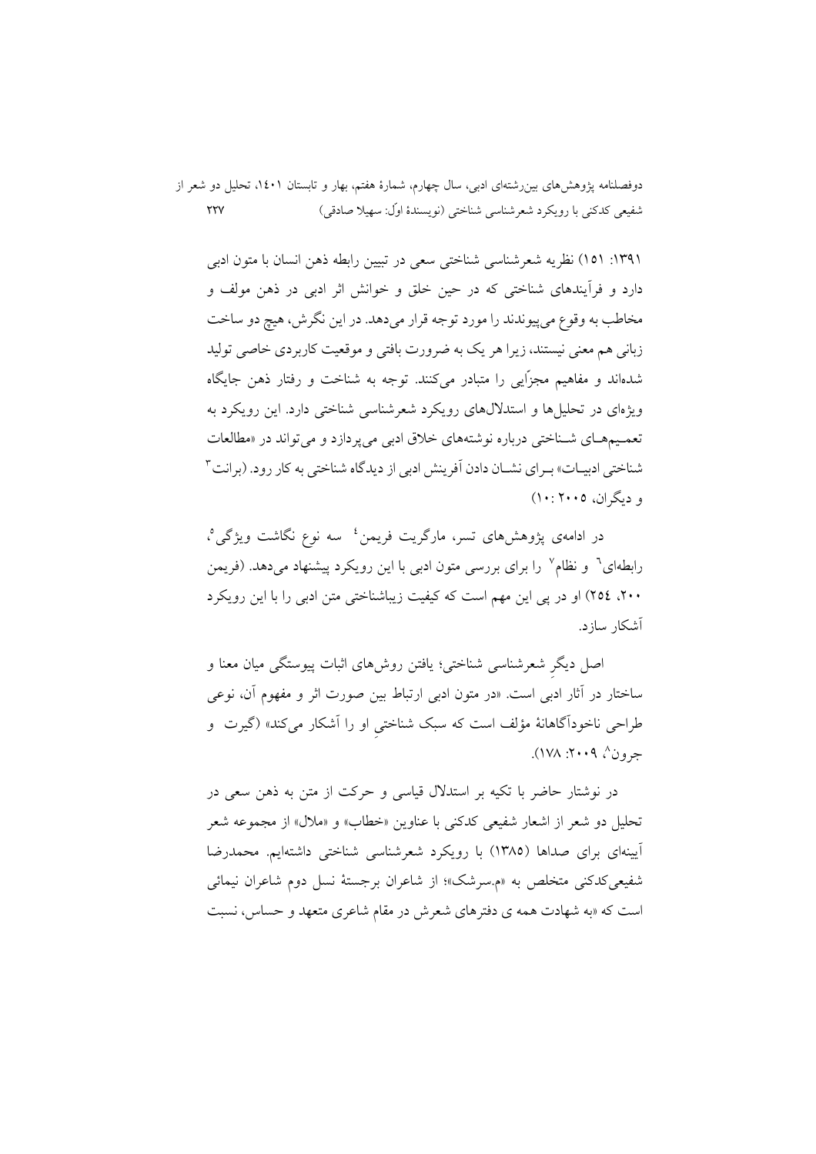١٣٩١: ١٥١) نظريه شعرشناسي شناختي سعي در تبيين رابطه ذهن انسان با متون ادبي دارد و فرآیندهای شناختی که در حین خلق و خوانش اثر ادبی در ذهن مولف و مخاطب به وقوع مي پيوندند را مورد توجه قرار مي دهد. در اين نگرش، هيچ دو ساخت زبانی هم معنی نیستند، زیرا هر یک به ضرورت بافتی و موقعیت کاربردی خاصی تولید شدهاند و مفاهیم مجزّایی را متبادر میکنند. توجه به شناخت و رفتار ذهن جایگاه ویژهای در تحلیلها و استدلالهای رویکرد شعرشناسی شناختی دارد. این رویکرد به تعمـيمهـاي شـناختي درباره نوشتههاي خلاق ادبي مي پردازد و مي تواند در «مطالعات شناختی ادبیـات» بـرای نشــان دادن آفرینش ادبی از دیدگاه شناختی به کار رود. (برانت ۳ و دیگران، ۲۰۰۵:۱۰)

در ادامهی پژوهشهای تسر، مارگریت فریمن<sup>؛</sup> سه نوع نگاشت ویژگی°، رابطهای<sup>٦</sup> و نظام<sup>٧</sup> را برای بررسی متون ادبی با این رویکرد پیشنهاد میدهد. (فریمن ۲۰۰، ٢٥٤) او در يې اين مهم است كه كيفيت زيباشناختې متن ادبي را با اين رويكړ د آشکار سازد.

اصل دیگر شعرشناسی شناختی؛ یافتن روش۵ای اثبات پیوستگی میان معنا و ساختار در آثار ادبی است. «در متون ادبی ارتباط بین صورت اثر و مفهوم آن، نوعی طراحی ناخوداًگاهانهٔ مؤلف است که سبک شناختی او را آشکار میکند» (گیرت و جرون^، ۲۰۰۹: ۱۷۸).

در نوشتار حاضر با تکیه بر استدلال قیاسی و حرکت از متن به ذهن سعی در تحلیل دو شعر از اشعار شفیعی کدکنی با عناوین «خطاب» و «ملال» از مجموعه شعر اًیینهای برای صداها (١٣٨٥) با رویکرد شعرشناسی شناختی داشتهایم. محمدرضا شفیعی کدکنی متخلص به «م.سرشک»؛ از شاعران برجستهٔ نسل دوم شاعران نیمائی است که «به شهادت همه ی دفترهای شعرش در مقام شاعری متعهد و حساس، نسبت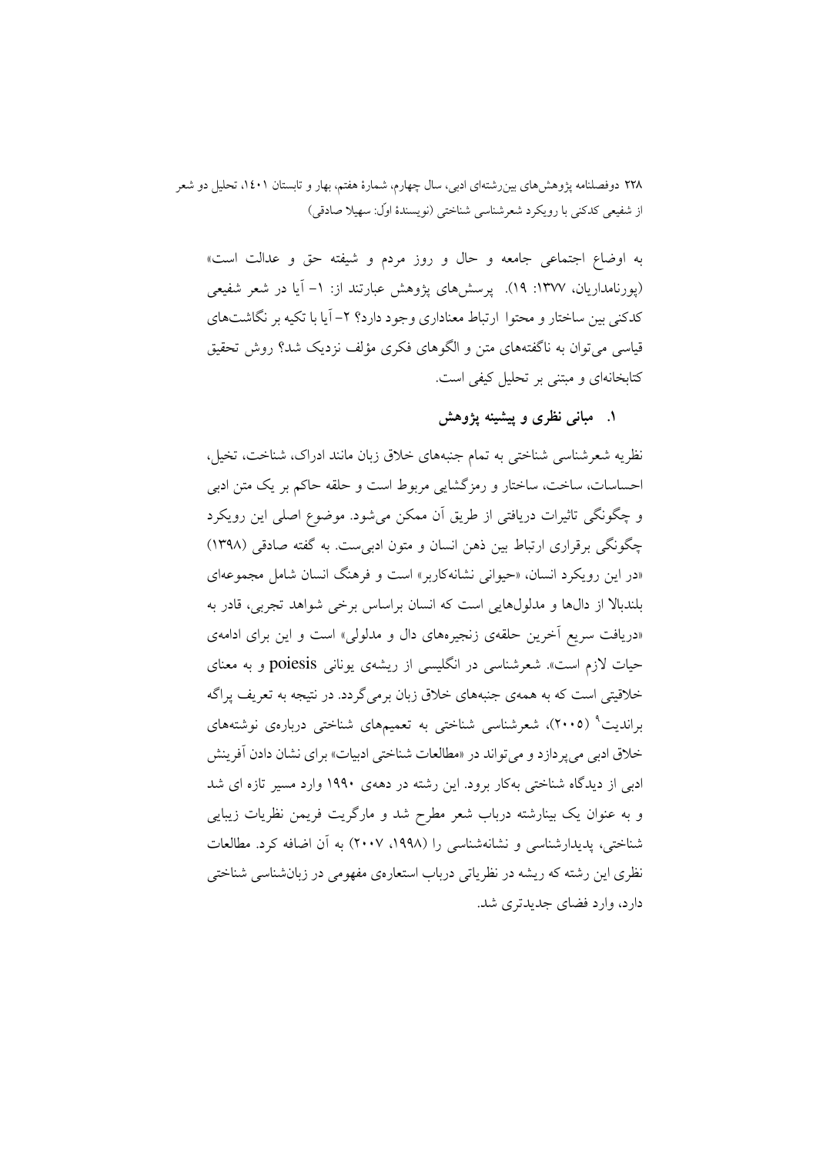به اوضاع اجتماعی جامعه و حال و روز مردم و شیفته حق و عدالت است» (پورنامداریان، ۱۳۷۷: ۱۹). پرسشهای پژوهش عبارتند از: ۱- آیا در شعر شفیعی کدکنی بین ساختار و محتوا ارتباط معناداری وجود دارد؟ ۲– آیا با تکیه بر نگاشتهای قیاسی می توان به ناگفتههای متن و الگوهای فکری مؤلف نزدیک شد؟ روش تحقیق کتابخانهای و مبتنی بر تحلیل کیفی است.

۱. مبانی نظری و پیشینه پژوهش

نظریه شعرشناسی شناختی به تمام جنبههای خلاق زبان مانند ادراک، شناخت، تخیل. احساسات، ساخت، ساختار و رمزگشایی مربوط است و حلقه حاکم بر یک متن ادبی و چگونگی تاثیرات دریافتی از طریق آن ممکن میشود. موضوع اصلی این رویکرد چگونگی برقراری ارتباط بین ذهن انسان و متون ادبیست. به گفته صادقی (۱۳۹۸) «در این رویکرد انسان، «حیوانی نشانهکاربر» است و فرهنگ انسان شامل مجموعهای بلندبالا از دالها و مدلولهایی است که انسان براساس برخی شواهد تجربی، قادر به «دریافت سریع آخرین حلقهی زنجیرههای دال و مدلولی» است و این برای ادامهی حیات لازم است». شعرشناسی در انگلیسی از ریشهی یونانی poiesis و به معنای خلاقیتی است که به همهی جنبههای خلاق زبان برمیگردد. در نتیجه به تعریف پراگه براندیت<sup>۹</sup> (۲۰۰۵)، شعرشناسی شناخت<sub>ی</sub> به تعمیمهای شناخت<sub>ی</sub> دربارهی نوشتههای خلاق ادبی میپردازد و می تواند در «مطالعات شناختی ادبیات» برای نشان دادن آفرینش ادبی از دیدگاه شناختی بهکار برود. این رشته در دههی ۱۹۹۰ وارد مسیر تازه ای شد و به عنوان یک بینارشته درباب شعر مطرح شد و مارگریت فریمن نظریات زیبایی شناختی، پدیدارشناسی و نشانهشناسی را (۱۹۹۸، ۲۰۰۷) به آن اضافه کرد. مطالعات نظری این رشته که ریشه در نظریاتی درباب استعارهی مفهومی در زبانشناسی شناختی دار د، وار د فضای جدیدتری شد.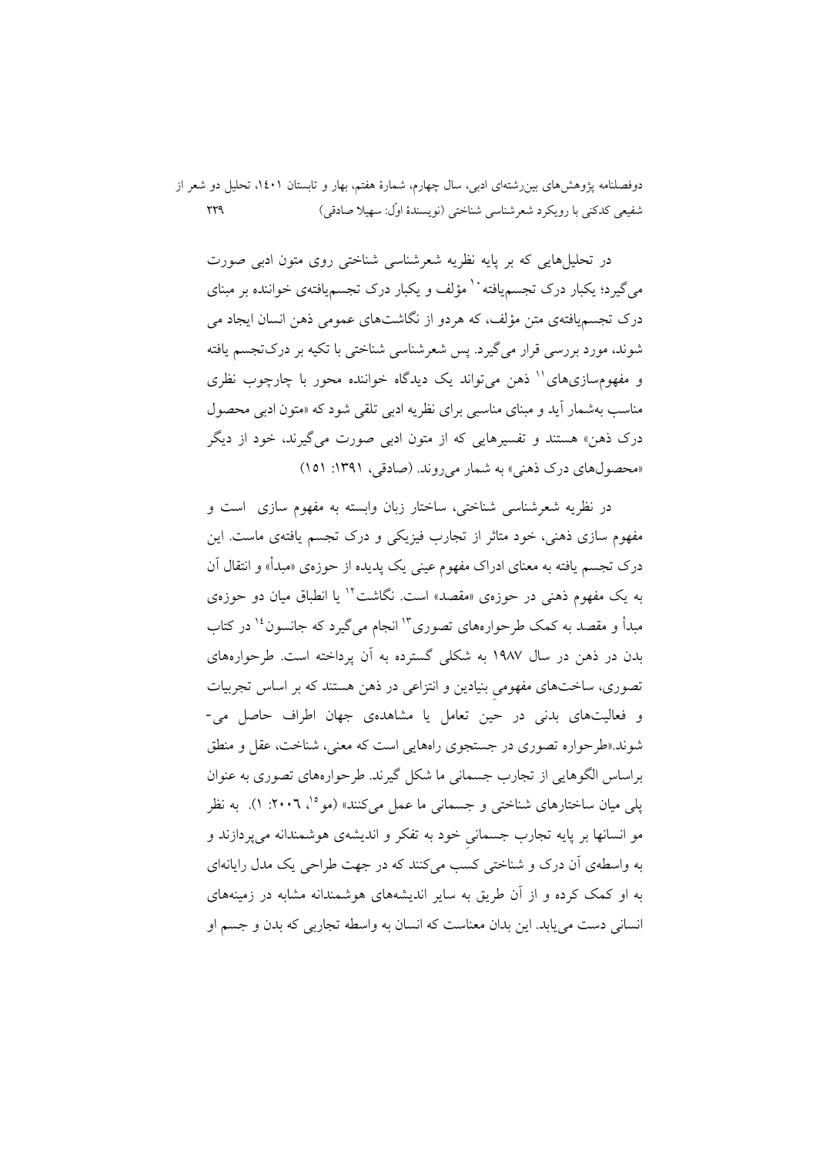دوفصلنامه پژوهشهای بین رشتهای ادبی، سال چهارم، شمارهٔ هفتم، بهار و تابستان ۱٤٠۱، تحلیل دو شعر از  $\gamma\gamma\gamma$ شفيعي كدكني با رويكرد شعرشناسي شناختي (نويسندهٔ اوّل: سهيلا صادقي)

در تحلیا ٖهایی که بر پایه نظریه شعرشناسی شناختی روی متون ادبی صورت میگیرد؛ یکبار درک تجسم،یافته`` مؤلف و یکبار درک تجسم،یافتهی خواننده بر مبنای درک تجسمپافتهی متن مؤلف، که هردو از نگاشتهای عمومی ذهن انسان ایجاد می شوند، مورد بررسی قرار میگیرد. پس شعرشناسی شناختی با تکیه بر درکتجسم یافته و مفهومسازیهای'' ذهن می تواند یک دیدگاه خواننده محور با چارچوب نظری مناسب بهشمار آید و مبنای مناسبی برای نظریه ادبی تلقی شود که «متون ادبی محصول درک ذهن» هستند و تفسیرهایی که از متون ادبی صورت میگیرند، خود از دیگر «محصولهای درک ذهنی» به شمار میروند. (صادقی، ۱۳۹۱: ۱۵۱)

در نظريه شعرشناسي شناختي، ساختار زبان وابسته به مفهوم سازى است و مفهوم سازی ذهنی، خود متاثر از تجارب فیزیکی و درک تجسم یافتهی ماست. این درک تجسم یافته به معنای ادراک مفهوم عینی یک پدیده از حوزهی «مبدأ» و انتقال آن به یک مفهوم ذهنی در حوزهی «مقصد» است. نگاشت<sup>۱۲</sup> یا انطباق میان دو حوزهی مبدأ و مقصد به کمک طرحوارههای تصوری<sup>۱۳</sup> انجام می گیرد که جانسون<sup>۱۶</sup> در کتاب بدن در ذهن در سال ۱۹۸۷ به شکلی گسترده به آن یرداخته است. طرحوارههای تصوری، ساختهای مفهومی بنیادین و انتزاعی در ذهن هستند که بر اساس تجربیات و فعالیتهای بدنی در حین تعامل یا مشاهدهی جهان اطراف حاصل می-شوند.«طرحواره تصوری در جستجوی راههایی است که معنی، شناخت، عقل و منطق براساس الگوهایی از تجارب جسمانی ما شکل گیرند. طرحوارههای تصوری به عنوان پل<sub>ی</sub> میان ساختارهای شناخت<sub>ی</sub> و جسمانی ما عمل میکنند» (مو<sup>۱</sup>٬ ۲۰۰۲: ۱). به نظر مو انسانها بر پایه تجارب جسمانی خود به تفکر و اندیشهی هوشمندانه میپردازند و به واسطهی آن درک و شناختی کسب میکنند که در جهت طراحی یک مدل رایانهای به او کمک کرده و از آن طریق به سایر اندیشههای هوشمندانه مشابه در زمینههای انساني دست مي يابد. اين بدان معناست كه انسان به واسطه تجاربي كه بدن و جسم او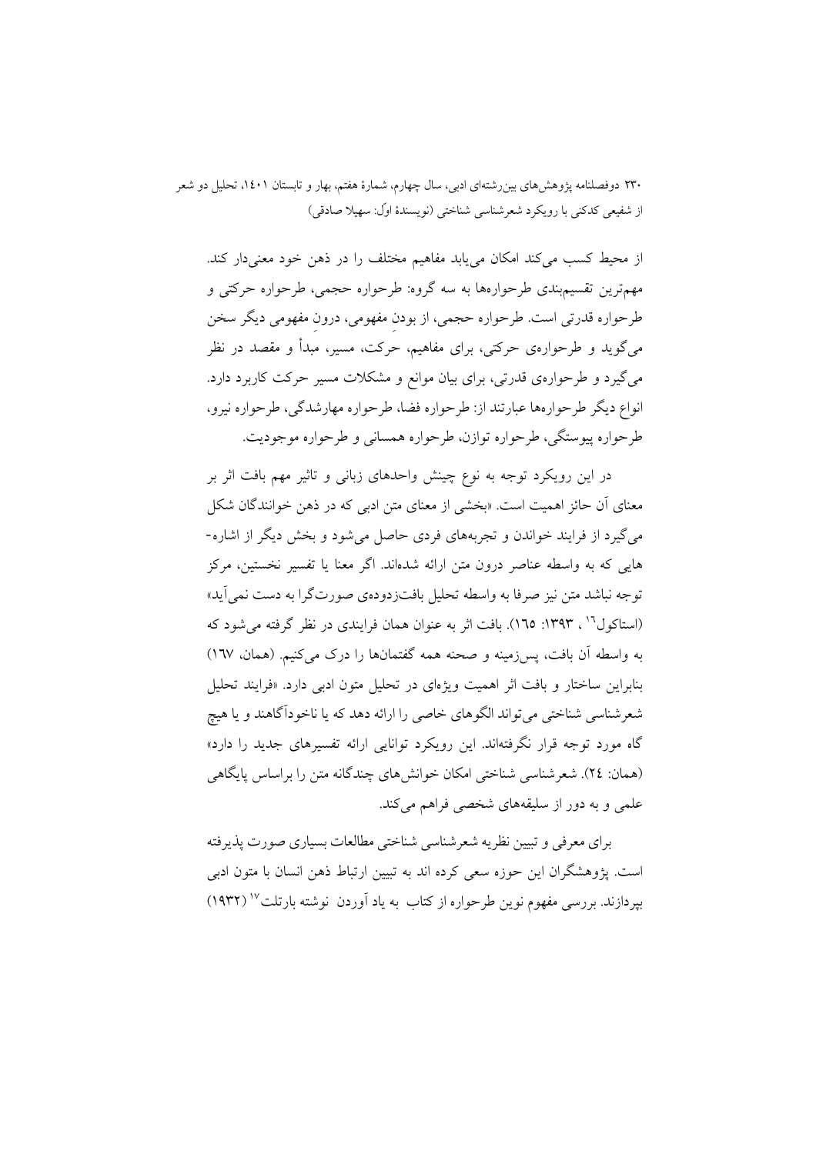از محیط کسب میکند امکان می پابد مفاهیم مختلف را در ذهن خود معنیدار کند. مهمترین تقسیمبندی طرحوارهها به سه گروه: طرحواره حجمی، طرحواره حرکتی و طرحواره قدرتی است. طرحواره حجمی، از بودن مفهومی، درون مفهومی دیگر سخن میگوید و طرحوارهی حرکتی، برای مفاهیم، حرکت، مسیر، مبدأ و مقصد در نظر می گیرد و طرحوارهی قدرتی، برای بیان موانع و مشکلات مسیر حرکت کاربرد دارد. انواع دیگر طرحوارهها عبارتند از: طرحواره فضا، طرحواره مهارشدگی، طرحواره نیرو، طرحواره پیوستگی، طرحواره توازن، طرحواره همسانی و طرحواره موجودیت.

در این رویکرد توجه به نوع چینش واحدهای زبانی و تاثیر مهم بافت اثر بر معنای آن حائز اهمیت است. «بخشی از معنای متن ادبی که در ذهن خوانندگان شکل می گیرد از فرایند خواندن و تجربههای فردی حاصل می شود و بخش دیگر از اشاره-هایی که به واسطه عناصر درون متن ارائه شدهاند. اگر معنا یا تفسیر نخستین، مرکز توجه نباشد متن نيز صرفا به واسطه تحليل بافتزدودهي صورتگرا به دست نمي آيد» (استاکول<sup>۱۹</sup> ، ۱۳۹۳: ۱٦٥). بافت اثر به عنوان همان فرایندی در نظر گرفته می شود که به واسطه آن بافت، پس زمینه و صحنه همه گفتمانها را درک می کنیم. (همان، ١٦٧) بنابراین ساختار و بافت اثر اهمیت ویژهای در تحلیل متون ادبی دارد. «فرایند تحلیل شعرشناسي شناختي مي تواند الگوهاي خاصي را ارائه دهد كه يا ناخو دآگاهند و يا هيچ گاه مورد توجه قرار نگرفتهاند. این رویکرد توانایی ارائه تفسیرهای جدید را دارد» (همان: ٢٤). شعرشناسی شناختی امکان خوانش های چندگانه متن را براساس پایگاهی علمی و به دور از سلیقههای شخصی فراهم میکند.

برای معرفی و تبیین نظریه شعر شناسی شناختی مطالعات بسیاری صورت پذیرفته است. يژوهشگران اين حوزه سعي كرده اند به تبيين ارتباط ذهن انسان با متون ادبي بیردازند. بررسی مفهوم نوین طرحواره از کتاب به یاد آوردن نوشته بارتلت<sup>۱۷</sup> (۱۹۳۲)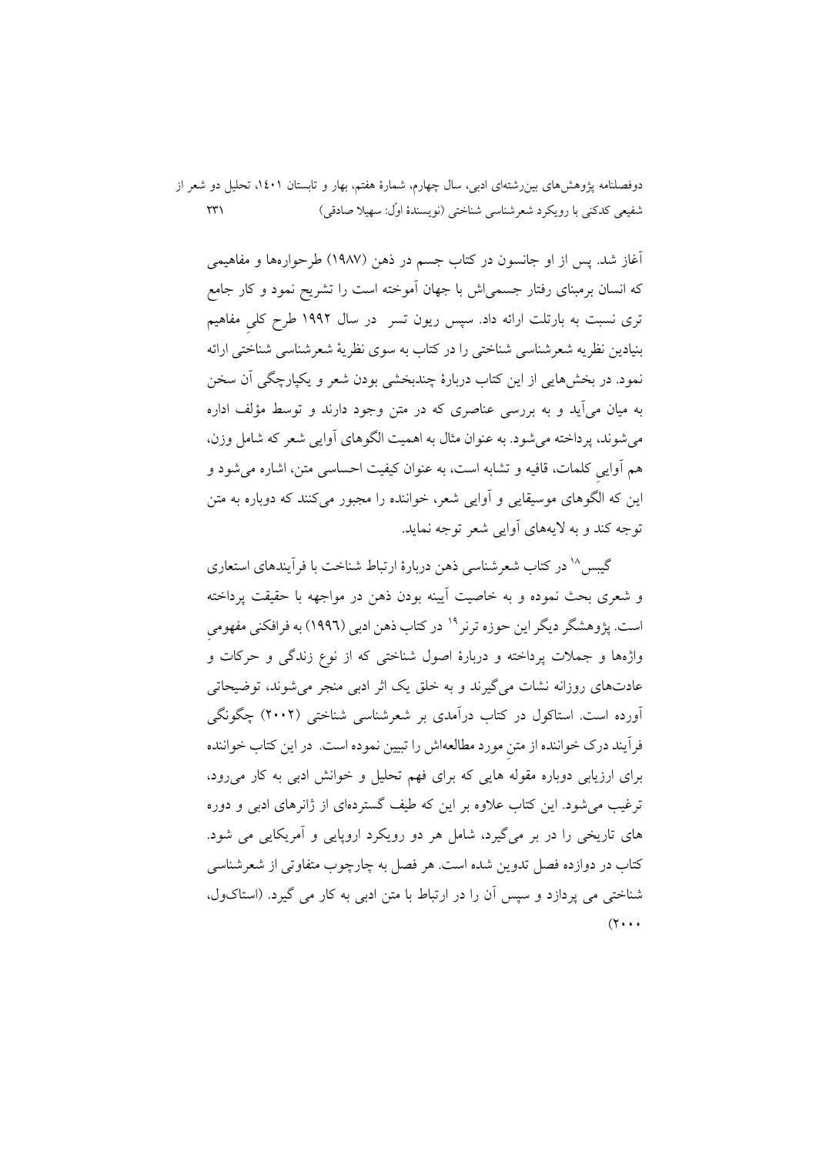دوفصلنامه پژوهشهای بین رشتهای ادبی، سال چهارم، شمارهٔ هفتم، بهار و تابستان ۱٤٠۱، تحلیل دو شعر از شفيعي كدكني با رويكرد شعرشناسي شناختي (نويسندهٔ اوّل: سهيلا صادقي)  $\uparrow\uparrow\uparrow$ 

أغاز شد. پس از او جانسون در کتاب جسم در ذهن (۱۹۸۷) طرحوارهها و مفاهیمی که انسان برمبنای رفتار جسمی!ش با جهان آموخته است را تشریح نمود و کار جامع تری نسبت به بارتلت ارائه داد. سپس ریون تسر در سال ۱۹۹۲ طرح کلی مفاهیم بنیادین نظریه شعرشناسی شناختی را در کتاب به سوی نظریهٔ شعرشناسی شناختی ارائه نمود. در بخشهایی از این کتاب دربارهٔ چندبخشی بودن شعر و یکپارچگی آن سخن به میان می آید و به بررسی عناصری که در متن وجود دارند و توسط مؤلف اداره مي شوند، پر داخته مي شود. به عنوان مثال به اهميت الگوهاي آوايي شعر كه شامل وزن، هم أوايي كلمات، قافيه و تشابه است، به عنوان كيفيت احساسي متن، اشاره مي شود و این که الگوهای موسیقایی و آوایی شعر، خواننده را مجبور میکنند که دوباره به متن توجه کند و به لایههای آوایی شعر توجه نماید.

گیسی<sup>۱۸</sup> در کتاب شعرشناسی ذهن دربارهٔ ارتباط شناخت با فرآیندهای استعاری و شعري بحث نموده و به خاصيت آيينه بودن ذهن در مواجهه با حقيقت پرداخته است. یژوهشگر دیگر این حوزه ترنر<sup>۱۹</sup> در کتاب ذهن ادب<sub>ی</sub> (۱۹۹۲) به فرافکنی مفهومی .<br>واژهها و جملات یرداخته و دربارهٔ اصول شناختی که از نوع زندگی و حرکات و عادتهای روزانه نشات می گیرند و به خلق یک اثر ادبی منجر می شوند، توضیحاتی آورده است. استاکول در کتاب درآمدی بر شعرشناسی شناختی (۲۰۰۲) چگونگی فرآیند درک خواننده از متن مورد مطالعهاش را تبیین نموده است. در این کتاب خواننده برای ارزیابی دوباره مقوله هایی که برای فهم تحلیل و خوانش ادبی به کار می رود، ترغیب می شود. این کتاب علاوه بر این که طیف گستردهای از ژانرهای ادبی و دوره های تاریخی را در بر میگیرد، شامل هر دو رویکرد اروپایی و آمریکایی می شود. کتاب در دوازده فصل تدوین شده است. هر فصل به چارچوب متفاوتی از شعرشناسی شناختی می یردازد و سپس آن را در ارتباط با متن ادبی به کار می گیرد. (استاکول،  $(7 \cdot \cdot \cdot$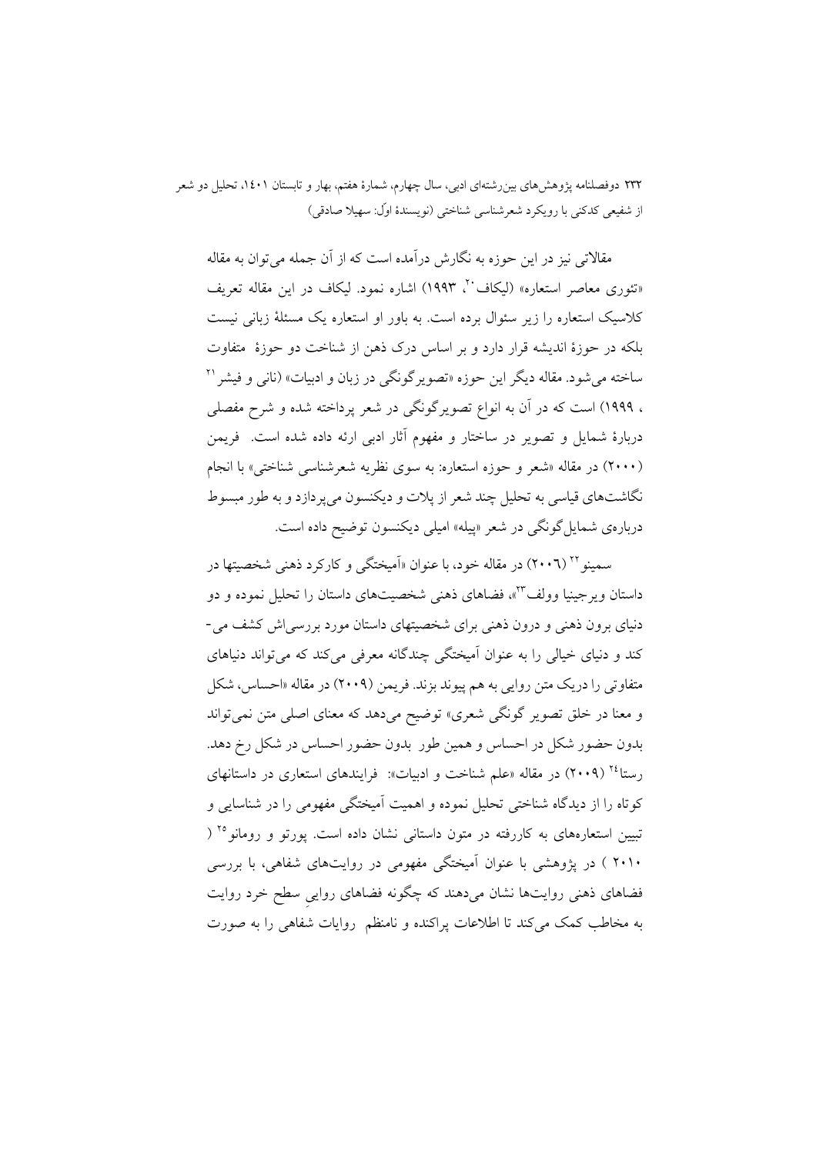مقالاتی نیز در این حوزه به نگارش درامده است که از آن جمله میتوان به مقاله «تئوری معاصر استعاره» (لیکاف``، ۱۹۹۳) اشاره نمود. لیکاف در این مقاله تعریف کلاسیک استعاره را زیر سئوال برده است. به باور او استعاره یک مسئلهٔ زبانی نیست بلکه در حوزهٔ اندیشه قرار دارد و بر اساس درک ذهن از شناخت دو حوزهٔ متفاوت ساخته میشود. مقاله دیگر این حوزه «تصویرگونگی در زبان و ادبیات» (نانی و فیشر <sup>۲۱</sup> ، ۱۹۹۹) است که در ان به انواع تصویرگونگی در شعر پرداخته شده و شرح مفصلی دربارهٔ شمایل و تصویر در ساختار و مفهوم اثار ادبی ارئه داده شده است. ً فریمن (۲۰۰۰) در مقاله «شعر و حوزه استعاره: به سوی نظریه شعرشناس<sub>ی</sub> شناختی» با انجام نگاشتهای قیاسی به تحلیل چند شعر از پلات و دیکنسون میپردازد و به طور مبسوط دربارهی شمایلگونگی در شعر «پیله» امیلی دیکنسون توضیح داده است.

سمینو ۲٬ (۲۰۰٦) در مقاله خود، با عنوان «اَمیختگی و کارکرد ذهنی شخصیتها در داستان ویرجینیا وولف<sup>۳</sup>"»، فضاهای ذهنی شخصیتهای داستان را تحلیل نموده و دو دنیای برون ذهن<sub>ی</sub> و درون ذهنی برای شخصیتهای داستان مورد بررسی|ش کشف می-کند و دنیای خیال<sub>ی</sub> را به عنوان امیختگی چندگانه معرفی میکند که میتواند دنیاهای متفاوتی را دریک متن روایی به هم پیوند بزند. فریمن (۲۰۰۹) در مقاله «احساس، شکل و معنا در خلق تصویر گونگی شعری» توضیح میدهد که معنای اصلی متن نمیتواند بدون حضور شکل در احساس و همین طور بدون حضور احساس در شکل رخ دهد. رستا<sup>۲٤</sup> (۲۰۰۹) در مقاله «علم شناخت و ادبیات»: فرایندهای استعاری در داستانهای کوتاه را از دیدگاه شناختی تحلیل نموده و اهمیت امیختگی مفهومی را در شناسایی و تبیین استعارههای به کاررفته در متون داستانی نشان داده است. پورتو و رومانو<sup>۲۵</sup> ( ۲۰۱۰ ) در پژوهشی با عنوان امیختگی مفهومی در روایتهای شفاهی، با بررسی فضاهای ذهنی روایتها نشان میدهند که چگونه فضاهای روایی سطح خرد روایت به مخاطب کمک میکند تا اطلاعات پراکنده و نامنظم روایات شفاهی را به صورت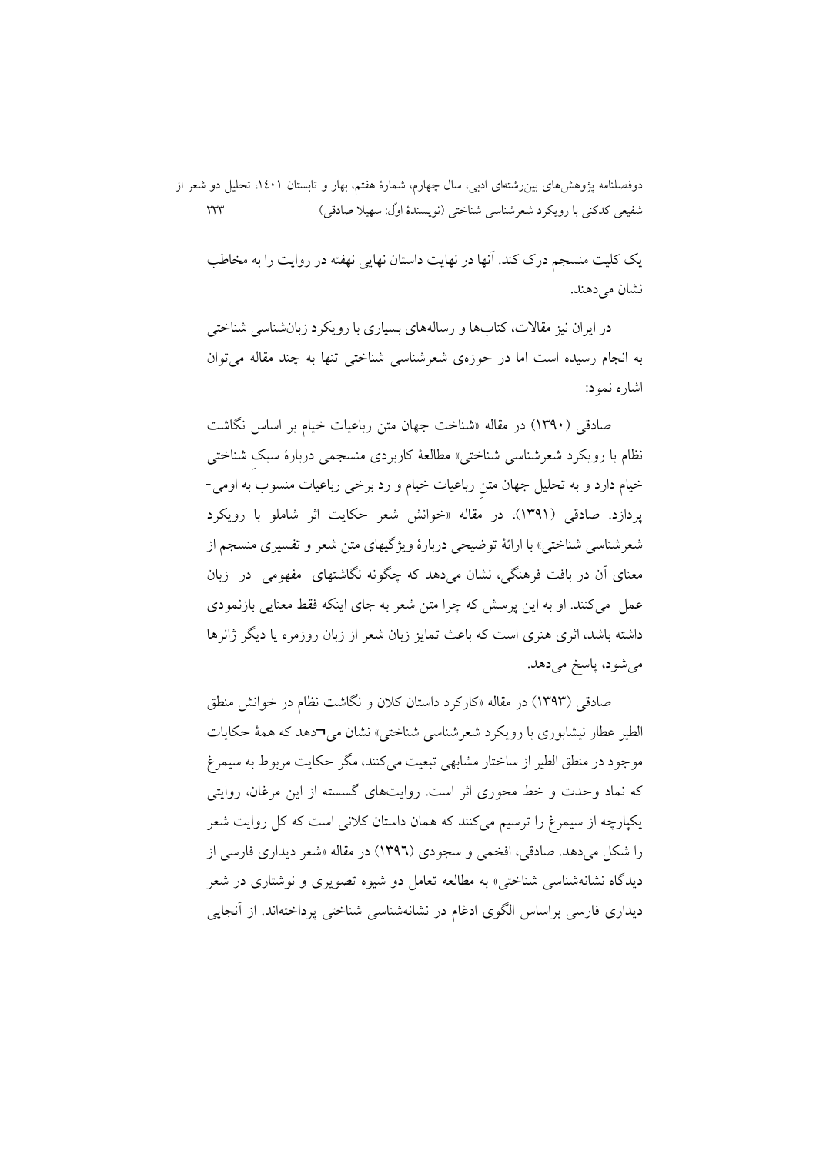دوفصلنامه پژوهش۵ای بین رشتهای ادبی، سال چهارم، شمارهٔ هفتم، بهار و تابستان ۱٤۰۱، تحلیل دو شعر از شفيعي كدكني با رويكرد شعرشناسي شناختي (نويسندهٔ اوّل: سهيلا صادقي)  $\tau\tau\tau$ 

یک کلیت منسجم درک کند. آنها در نهایت داستان نهایی نهفته در روایت را به مخاطب نشان می دهند.

در ايران نيز مقالات، كتابها و رسالههاي بسياري با رويكرد زبانشناسي شناختي به انجام رسیده است اما در حوزهی شعرشناسی شناختی تنها به چند مقاله می توان اشاره نمود:

صادقی (۱۳۹۰) در مقاله «شناخت جهان متن رباعیات خیام بر اساس نگاشت نظام با رویکرد شعرشناسی شناختی» مطالعهٔ کاربردی منسجمی دربارهٔ سبک شناختی خیام دارد و به تحلیل جهان متن رباعیات خیام و رد برخی رباعیات منسوب به اومی-یردازد. صادقی (۱۳۹۱)، در مقاله «خوانش شعر حکایت اثر شاملو با رویکرد شعرشناسی شناختی» با ارائهٔ توضیحی دربارهٔ ویژگیهای متن شعر و تفسیری منسجم از معنای آن در بافت فرهنگی، نشان میردهد که چگونه نگاشتهای ً مفهومی ٍ در زبان عمل ً مي كنند. او به اين پرسش كه چرا متن شعر به جاي اينكه فقط معنايي بازنمودي داشته باشد، اثری هنری است که باعث تمایز زبان شعر از زبان روزمره یا دیگر ژانرها مي شود، ياسخ مي دهد.

صادقی (۱۳۹۳) در مقاله «کارکرد داستان کلان و نگاشت نظام در خوانش منطق الطير عطار نيشابوري با رويكرد شعرشناسي شناختي» نشان مي¬دهد كه همهٔ حكايات موجود در منطق الطیر از ساختار مشابهی تبعیت میکنند، مگر حکایت مربوط به سیمرغ که نماد وحدت و خط محوری اثر است. روایتهای گسسته از این مرغان، روایتی یکپارچه از سیمرغ را ترسیم میکنند که همان داستان کلانی است که کل روایت شعر را شکل میدهد. صادقی، افخمی و سجودی (۱۳۹٦) در مقاله «شعر دیداری فارسی از دیدگاه نشانهشناس<sub>ی</sub> شناخت<sub>ی</sub>» به مطالعه تعامل دو شیوه تصویری و نوشتاری در شعر دیداری فارسی براساس الگوی ادغام در نشانهشناسی شناختی پرداختهاند. از آنجایی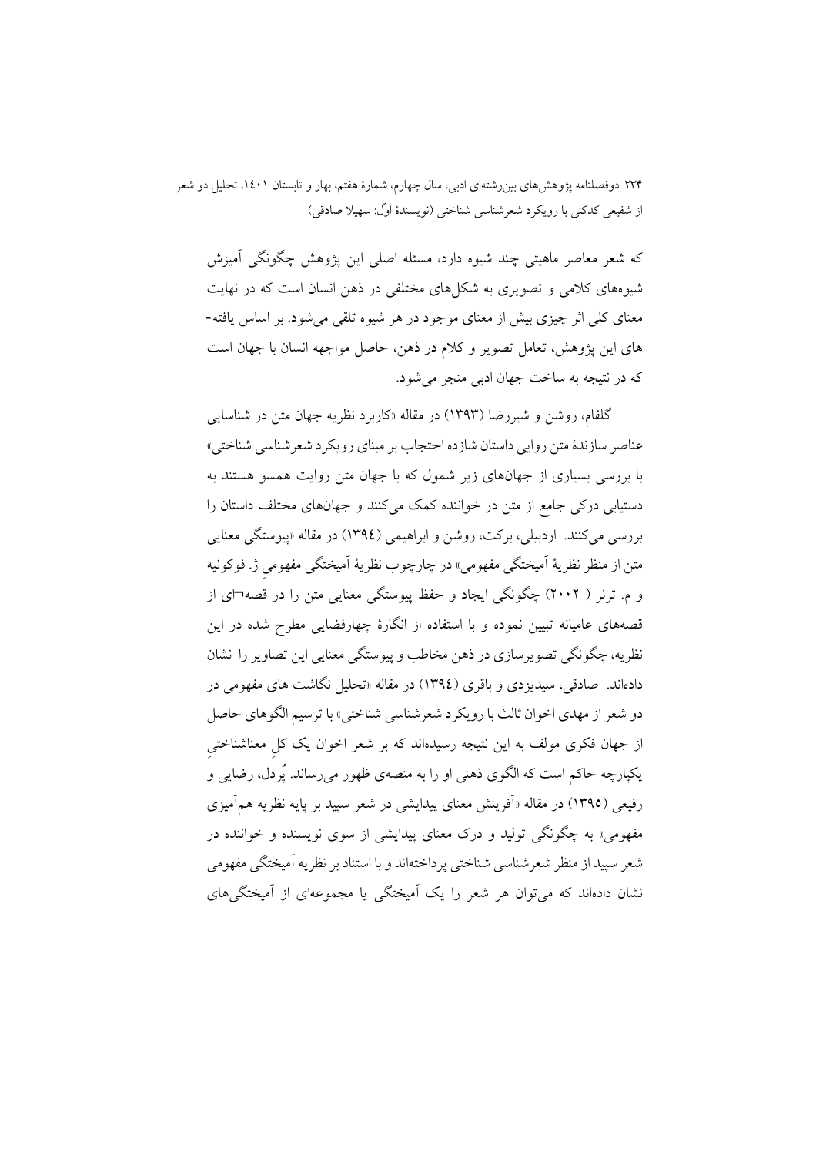که شعر معاصر ماهیتی چند شیوه دارد، مسئله اصلی این یژوهش چگونگی آمیزش شیوههای کلامی و تصویری به شکلهای مختلفی در ذهن انسان است که در نهایت معنای کلی اثر چیزی بیش از معنای موجود در هر شیوه تلقی می شود. بر اساس یافته-های این پژوهش، تعامل تصویر و کلام در ذهن، حاصل مواجهه انسان با جهان است که در نتیجه به ساخت جهان ادبی منجر میشود.

گلفام، روشن و شیررضا (۱۳۹۳) در مقاله «کاربرد نظریه جهان متن در شناسایی عناصر سازندهٔ متن روایی داستان شازده احتجاب بر مبنای رویکرد شعر شناسی شناختی» با بررسی بسیاری از جهانهای زیر شمول که با جهان متن روایت همسو هستند به دستیابی درکی جامع از متن در خواننده کمک میکنند و جهانهای مختلف داستان را بررسي مي کنند. اردبيلي، برکت، روشن و ابراهيمي (١٣٩٤) در مقاله «پيوستگي معنايي متن از منظر نظریهٔ اَمیختگی مفهومی» در چارچوب نظریهٔ اَمیختگی مفهومی ژ. فوکونیه و م. ترنر ( ۲۰۰۲) چگونگی ایجاد و حفظ پیوستگی معنایی متن را در قصه¬ای از قصههای عامیانه تبیین نموده و با استفاده از انگارهٔ چهارفضایی مطرح شده در این نظریه، چگونگی تصویرسازی در ذهن مخاطب و پیوستگی معنایی این تصاویر را نشان دادهاند. صادقی، سیدیز دی و باقری (١٣٩٤) در مقاله «تحلیل نگاشت های مفهومی در دو شعر از مهدي اخوان ثالث با رويكرد شعرشناسي شناختي» با ترسيم الگوهاي حاصل از جهان فکری مولف به این نتیجه رسیدهاند که بر شعر اخوان یک کل معناشناختی يکيارچه حاکم است که الگوي ذهني او را به منصهي ظهور مي رساند. يُردل، رضايي و رفیعی (١٣٩٥) در مقاله «اَفرینش معنای پیدایشی در شعر سپید بر پایه نظریه همآمیزی مفهومي» په چگونگي توليد و درک معناي پيدايشي از سوي نويسنده و خواننده در شعر سپيد از منظر شعرشناسي شناختي پر داختهاند و با استناد بر نظريه آميختگي مفهومي نشان دادهاند که می توان هر شعر را یک آمیختگی یا مجموعهای از آمیختگی های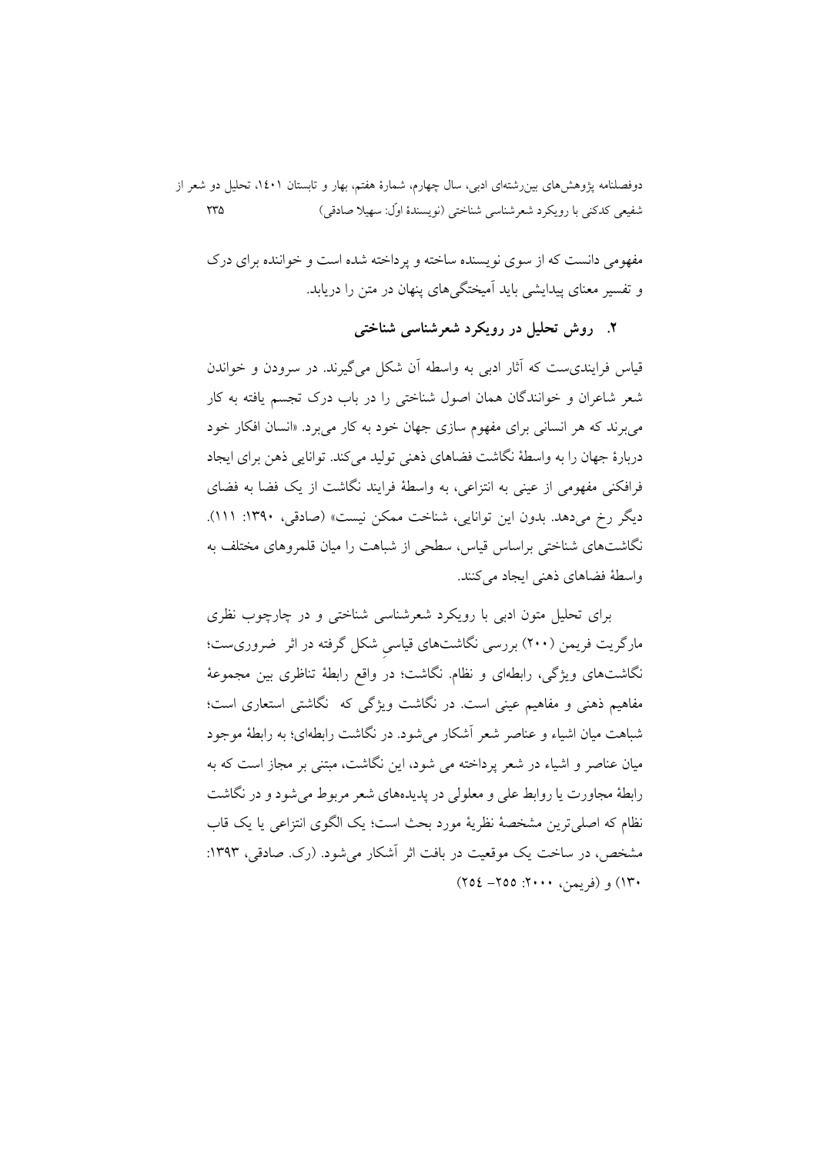دوفصلنامه پژوهشهای بین رشتهای ادبی، سال چهارم، شمارهٔ هفتم، بهار و تابستان ۱٤٠۱، تحلیل دو شعر از  $\tau\tau\omega$ شفيعي كدكني با رويكرد شعرشناسي شناختي (نويسندهٔ اوّل: سهيلا صادقي)

مفهومی دانست که از سوی نویسنده ساخته و پرداخته شده است و خواننده برای درک و تفسیر معنای پیدایشی باید آمیختگیهای پنهان در متن را دریابد.

۲. روش تحلیل در رویکرد شعرشناسی شناختی

قیاس فرایندی ست که آثار ادبی به واسطه آن شکل می گیرند. در سرودن و خواندن شعر شاعران و خوانندگان همان اصول شناختی را در باب درک تجسم یافته به کار میبرند که هر انسانی برای مفهوم سازی جهان خود به کار می برد. «انسان افکار خود دربارهٔ جهان را به واسطهٔ نگاشت فضاهای ذهنی تولید می کند. توانایی ذهن برای ایجاد فرافکنی مفهومی از عینی به انتزاعی، به واسطهٔ فرایند نگاشت از یک فضا به فضای ديگر رخ مي دهد. بدون اين توانايي، شناخت ممكن نيست» (صادقي، ١٣٩٠: ١١١). نگاشتهای شناختی براساس قیاس، سطحی از شباهت را میان قلمروهای مختلف به واسطهٔ فضاهای ذهنی ایجاد می کنند.

برای تحلیل متون ادبی با رویکرد شعرشناسی شناختی و در چارچوب نظری مارگریت فریمن (۲۰۰) بررسی نگاشتهای قیاسی شکل گرفته در اثر ضروریست؛ نگاشتهای ویژگی، رابطهای و نظام. نگاشت؛ در واقع رابطهٔ تناظری بین مجموعهٔ مفاهیم ذهنی و مفاهیم عینی است. در نگاشت ویژگی که نگاشتی استعاری است؛ شباهت میان اشیاء و عناصر شعر آشکار می شود. در نگاشت رابطهای؛ به رابطهٔ موجود .<br>میان عناصر و اشیاء در شعر برداخته می شود، این نگاشت، میتنی بر مجاز است که به رابطهٔ مجاورت یا روابط علی و معلولی در پدیدهای شعر مربوط می شود و در نگاشت نظام که اصلی ترین مشخصهٔ نظریهٔ مورد بحث است؛ یک الگوی انتزاعی یا یک قاب مشخص، در ساخت یک موقعیت در بافت اثر آشکار می شود. (رک. صادقی، ۱۳۹۳: ١٣٠) و (فريمن، ٢٠٠٠: ٢٥٥– ٢٥٤)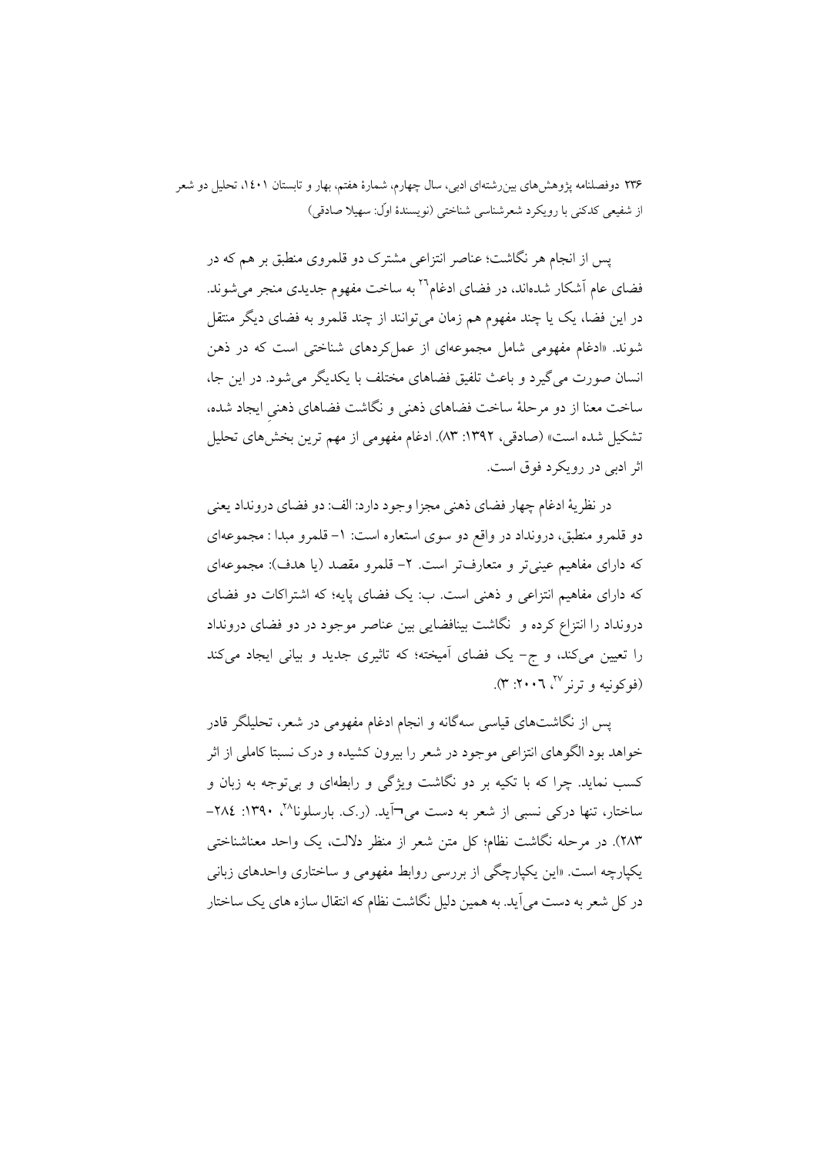یس از انجام هر نگاشت؛ عناصر انتزاعی مشترک دو قلمروی منطبق بر هم که در فضای عام اَشکار شدهاند، در فضای ادغام<sup>۲۲</sup> به ساخت مفهوم جدیدی منجر میشوند. در این فضا، یک یا چند مفهوم هم زمان می توانند از چند قلمرو به فضای دیگر منتقل شوند. «ادغام مفهومی شامل مجموعهای از عمل کردهای شناختی است که در ذهن انسان صورت می گیرد و باعث تلفیق فضاهای مختلف با یکدیگر می شود. در این جا، ساخت معنا از دو مرحلهٔ ساخت فضاهای ذهنی و نگاشت فضاهای ذهنی ایجاد شده، تشکیل شده است» (صادقی، ۱۳۹۲: ۸۳). ادغام مفهومی از مهم ترین بخشهای تحلیل اثر ادبی در رویکرد فوق است.

در نظريهٔ ادغام چهار فضاي ذهني مجزا وجود دارد: الف: دو فضاي درونداد يعني دو قلمرو منطبق، درونداد در واقع دو سوی استعاره است: ١– قلمرو مبدا : مجموعهای که دارای مفاهیم عینی تر و متعارفتر است. ۲– قلمرو مقصد (یا هدف): مجموعهای که دارای مفاهیم انتزاعی و ذهنی است. ب: یک فضای پایه؛ که اشتراکات دو فضای درونداد را انتزاع کرده و گاشت بینافضایی بین عناصر موجود در دو فضای درونداد را تعیین میکند، و ج- یک فضای آمیخته؛ که تاثیری جدید و بیانی ایجاد میکند (فوكونيه و ترنر ٢٧، ٢٠٠٦: ٣).

پس از نگاشتهای قیاسی سهگانه و انجام ادغام مفهومی در شعر، تحلیلگر قادر خواهد بود الگوهای انتزاعی موجود در شعر را بیرون کشیده و درک نسبتا کاملی از اثر کسب نماید. چرا که با تکیه بر دو نگاشت ویژگی و رابطهای و بی توجه به زبان و ساختار، تنها درکی نسبی از شعر به دست می¬آید. (ر.ک. بارسلونا^`، ۱۳۹۰: ۲۸٤-٢٨٣). در مرحله نگاشت نظام؛ کل متن شعر از منظر دلالت، یک واحد معناشناختی یکپارچه است. «این یکپارچگی از بررسی روابط مفهومی و ساختاری واحدهای زبانی در کل شعر به دست می آید. به همین دلیل نگاشت نظام که انتقال سازه های یک ساختار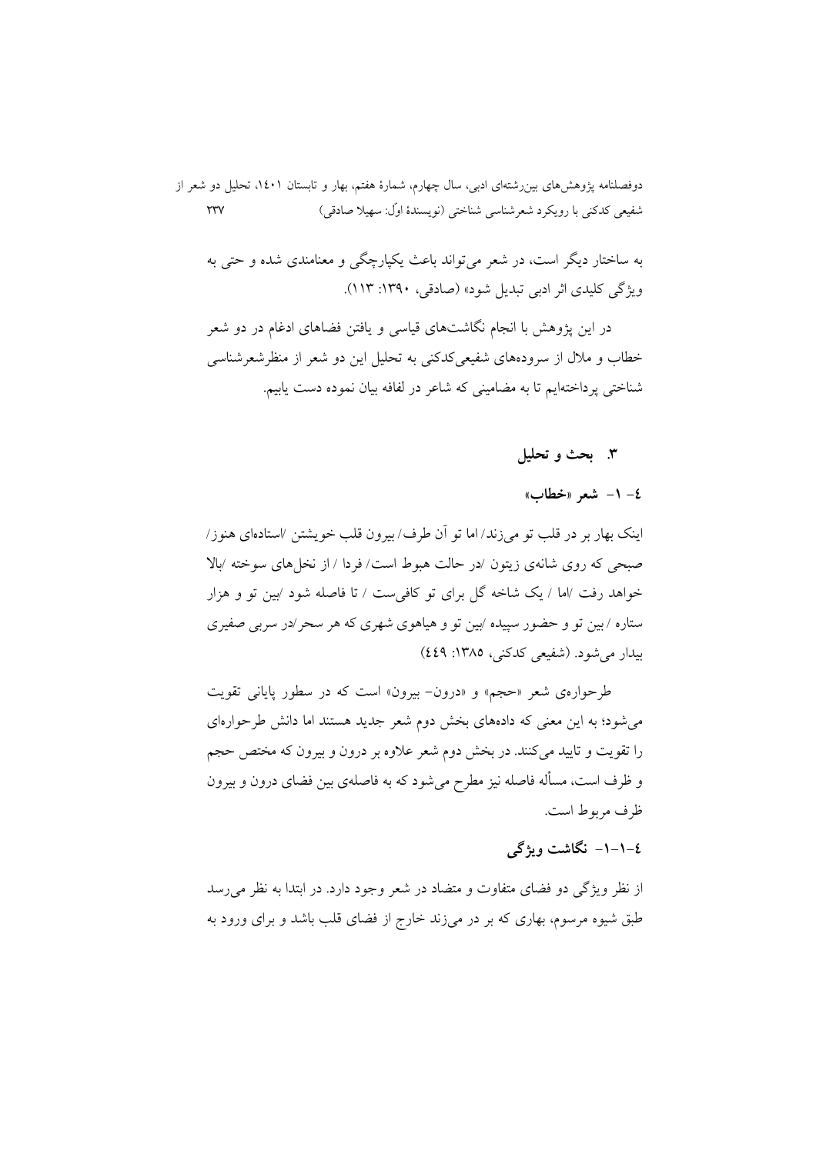دوفصلنامه پژوهشهای بین رشتهای ادبی، سال چهارم، شمارهٔ هفتم، بهار و تابستان ۱٤٠۱، تحلیل دو شعر از شفيعي كدكني با رويكرد شعرشناسي شناختي (نويسندهٔ اوّل: سهيلا صادقي)  $\tau\tau\gamma$ 

به ساختار دیگر است، در شعر می تواند باعث یکپارچگی و معنامندی شده و حتی به ویژگی کلیدی اثر ادبی تبدیل شود» (صادقی، ١٣٩٠: ١١٣).

در این یژوهش با انجام نگاشتهای قیاسی و یافتن فضاهای ادغام در دو شعر خطاب و ملال از سرودههای شفیعی کدکنی به تحلیل این دو شعر از منظرشعرشناسی شناختی پرداختهایم تا به مضامینی که شاعر در لفافه بیان نموده دست یابیم.

#### ۳. بحث و تحليل

#### ٤– ١– شعر «خطاب»

اينک بهار بر در قلب تو مي زند/ اما تو آن طرف/ بيرون قلب خويشتن /استادهاي هنوز/ صبحی که روی شانهی زیتون /در حالت هبوط است/ فردا / از نخل های سوخته /بالا خواهد رفت ⁄اما / یک شاخه گل برای تو کافی ست / تا فاصله شود ⁄بین تو و هزار ستاره /بین تو و حضور سپیده ⁄بین تو و هیاهوی شهری که هر سحر/در سربی صفیری بيدار مي شود. (شفيعي كدكني، ١٣٨٥: ٤٤٩)

طرحوارهي شعر «حجم» و «درون- بيرون» است كه در سطور پاياني تقويت می شود؛ به این معنی که دادههای بخش دوم شعر جدید هستند اما دانش طرحوارهای را تقویت و تایید میکنند. در بخش دوم شعر علاوه بر درون و بیرون که مختص حجم و ظرف است، مسأله فاصله نيز مطرح مي شود كه به فاصلهى بين فضاى درون و بيرون ظرف مربوط است.

# ٤–١–١– نگاشت ویژگی

از نظر ویژگی دو فضای متفاوت و متضاد در شعر وجود دارد. در ابتدا به نظر می رسد طبق شیوه مرسوم، بهاری که بر در میزند خارج از فضای قلب باشد و برای ورود به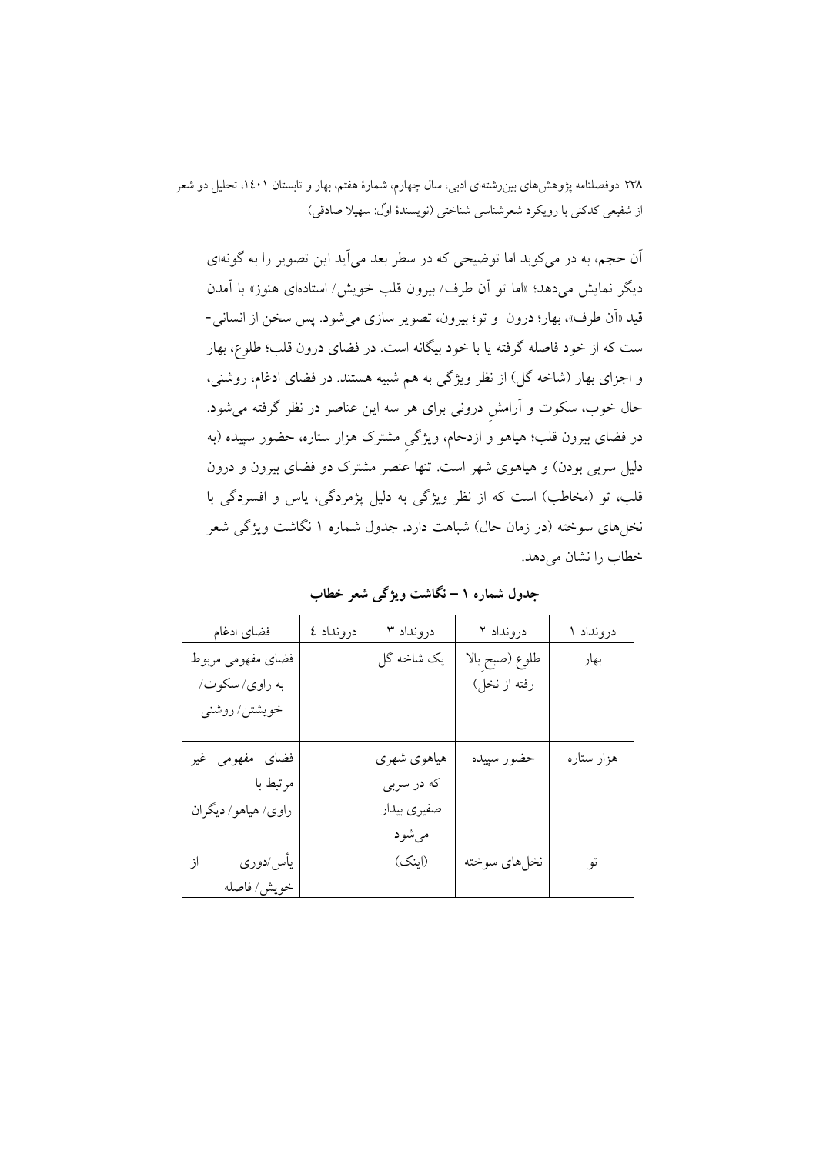اّن حجم، به در می کوبد اما توضیحی که در سطر بعد می اَید این تصویر را به گونهای ديگر نمايش مىدهد؛ «اما تو آن طرف/ بيرون قلب خويش/ استادهاى هنوز» با آمدن قيد «اَن طرف»، بهار؛ درون و تو؛ بيرون، تصوير سازي مي شود. پس سخن از انساني-ست که از خود فاصله گرفته یا با خود بیگانه است. در فضای درون قلب؛ طلوع، بهار و اجزای بهار (شاخه گل) از نظر ویژگی به هم شبیه هستند. در فضای ادغام، روشنی، حال خوب، سکوت و آرامش درونی برای هر سه این عناصر در نظر گرفته میشود. در فضای بیرون قلب؛ هیاهو و ازدحام، ویژگیِ مشترک هزار ستاره، حضور سپیده (به دلیل سربی بودن) و هیاهوی شهر است. تنها عنصر مشترک دو فضای بیرون و درون قلب، تو (مخاطب) است که از نظر ویژگی به دلیل پژمردگی، پاس و افسردگی با نخلهای سوخته (در زمان حال) شباهت دارد. جدول شماره ۱ نگاشت ویژگی شعر خطاب را نشان می دهد.

| فضاي ادغام          | درونداد ٤ | درونداد ۳   | درونداد ۲      | درونداد ۱  |
|---------------------|-----------|-------------|----------------|------------|
| فضاي مفهومي مربوط   |           | یک شاخه گل  | طلوع (صبح بالا | بهار       |
| به راوي/سكوت/       |           |             | رفته از نخل)   |            |
| خويشتن/ روشني       |           |             |                |            |
|                     |           |             |                |            |
| فضای مفهومی غیر     |           | هياهوي شهري | حضور سپيده     | هزار ستاره |
| مرتبط با            |           | كه در سربي  |                |            |
| راوي/ هياهو/ ديگران |           | صفيري بيدار |                |            |
|                     |           | مىشود       |                |            |
| يأس⁄دوري<br>از      |           | (اینک)      | نخلهاي سوخته   | تو         |
| خويش/ فاصله         |           |             |                |            |

جدول شماره ١ – نگاشت ویژگی شعر خطاب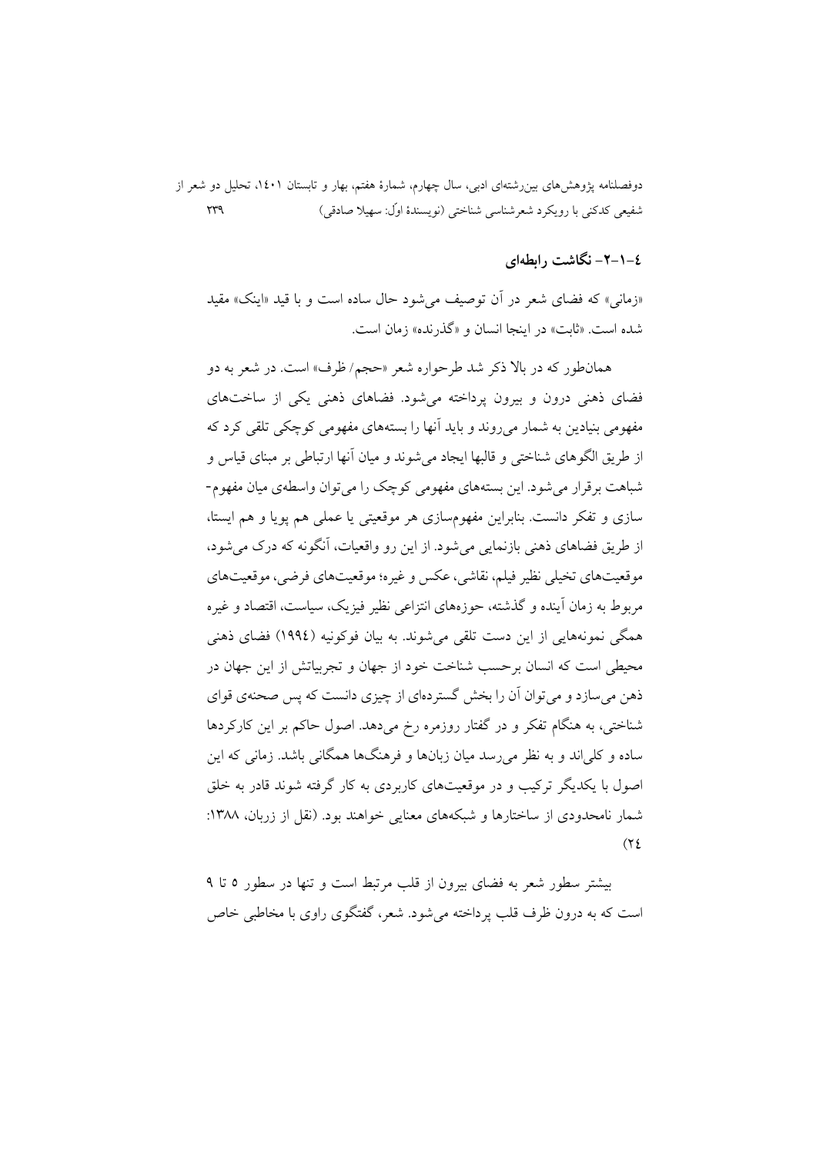دوفصلنامه پژوهشهای بین رشتهای ادبی، سال چهارم، شمارهٔ هفتم، بهار و تابستان ۱٤٠۱، تحلیل دو شعر از شفيعي كدكني با رويكرد شعرشناسي شناختي (نويسندهٔ اوّل: سهيلا صادقي)  $\gamma\gamma\gamma$ 

## ٤–١–٢– نگاشت رابطهای

«زمانی» که فضای شعر در آن توصیف می شود حال ساده است و با قید «اینک» مقید شده است. «ثابت» در اينجا انسان و «گذرنده» زمان است.

همانطور که در بالا ذکر شد طرحواره شعر «حجم/ ظرف» است. در شعر به دو فضای ذهنی درون و بیرون یرداخته می شود. فضاهای ذهنی یکی از ساختهای مفهومي بنيادين به شمار مي روند و بايد آنها را بستههاي مفهومي كوچكي تلقي كرد كه از طريق الگوهاي شناختي و قالبها ايجاد مي شوند و ميان آنها ارتباطي بر مبناي قياس و شباهت بر قرار می شود. این بستههای مفهومی کوچک را می توان واسطهی میان مفهوم-سازی و تفکر دانست. بنابراین مفهومسازی هر موقعیتی یا عملی هم یوپا و هم ایستا، از طریق فضاهای ذهنی بازنمایی می شود. از این رو واقعیات، آنگونه که درک می شود، موقعیتهای تخیلی نظیر فیلم، نقاشی، عکس و غیره؛ موقعیتهای فرضی، موقعیتهای مربوط به زمان أينده و گذشته، حوزههاي انتزاعي نظير فيزيک، سياست، اقتصاد و غيره همگی نمونههایی از این دست تلقی می شوند. به بیان فوکونیه (١٩٩٤) فضای ذهنی محبط ٍ است که انسان برحسب شناخت خود از جهان و تجربیاتش از این جهان در ذهن می سازد و می توان آن را بخش گستر دمای از چیزی دانست که پس صحنهی قوای شناختی، به هنگام تفکر و در گفتار روزمره رخ میدهد. اصول حاکم بر این کارکردها ساده و کلی اند و به نظر می رسد میان زبانها و فرهنگها همگانی باشد. زمانی که این اصول با یکدیگر ترکیب و در موقعیتهای کاربردی به کار گرفته شوند قادر به خلق شمار نامحدودی از ساختارها و شبکههای معنایی خواهند بود. (نقل از زربان، ۱۳۸۸:  $(72)$ 

بیشتر سطور شعر به فضای پیرون از قلب مرتبط است و تنها در سطور ۵ تا ۹ است که به درون ظرف قلب پرداخته می شود. شعر، گفتگوی راوی با مخاطبی خاص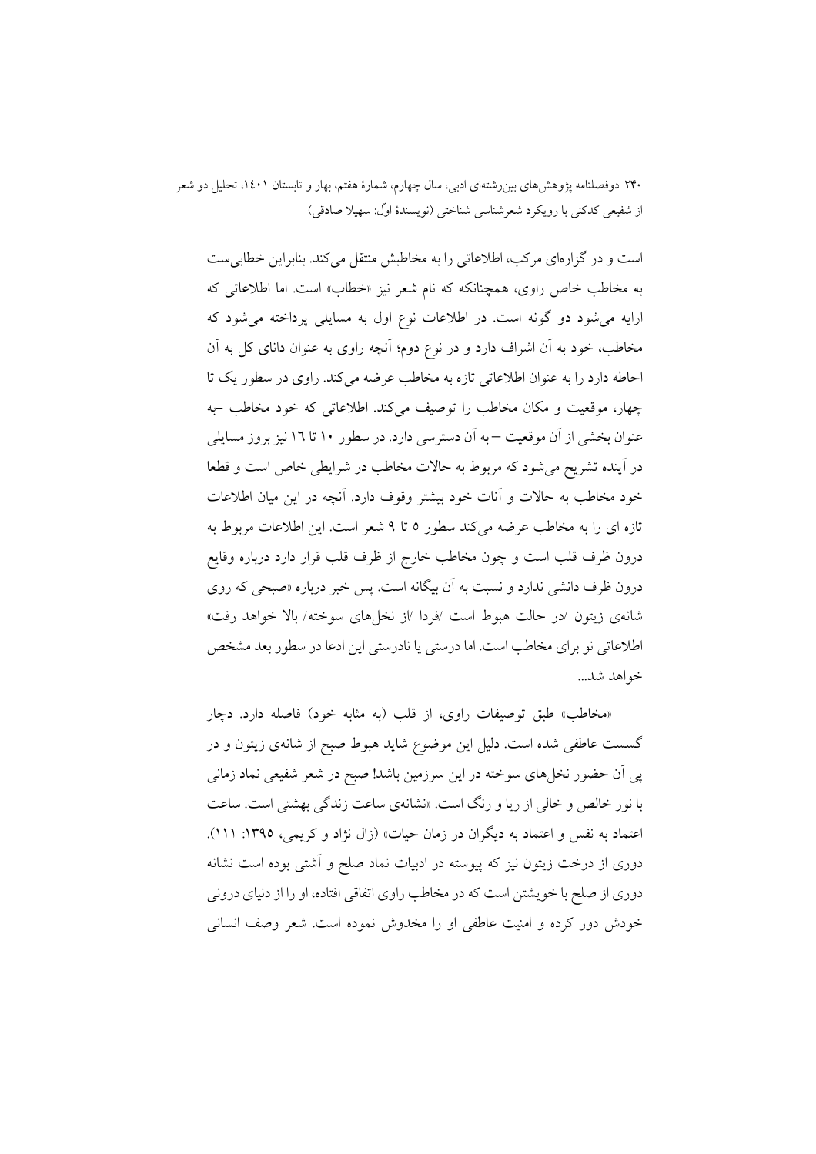است و در گزارهای مرکب، اطلاعاتی را به مخاطبش منتقل می کند. بنابراین خطابی ست به مخاطب خاص راوی، همچنانکه که نام شعر نیز «خطاب» است. اما اطلاعاتی که ارایه میشود دو گونه است. در اطلاعات نوع اول به مسایلی پرداخته میشود که مخاطب، خود به أن اشراف دارد و در نوع دوم؛ أنچه راوی به عنوان دانای کل به أن احاطه دارد را به عنوان اطلاعاتی تازه به مخاطب عرضه میکند. راوی در سطور یک تا چهار، موقعیت و مکان مخاطب را توصیف می کند. اطلاعاتی که خود مخاطب -به عنوان بخشی از آن موقعیت —به اَن دسترسی دارد. در سطور ۱۰ تا ۱7 نیز بروز مسایلی در آینده تشریح می شود که مربوط به حالات مخاطب در شرایطی خاص است و قطعا خود مخاطب به حالات و آنات خود بیشتر وقوف دارد. آنچه در این میان اطلاعات تازه ای را به مخاطب عرضه میکند سطور ۵ تا ۹ شعر است. این اطلاعات مربوط به درون ظرف قلب است و چون مخاطب خارج از ظرف قلب قرار دارد درباره وقايع درون ظرف دانشی ندارد و نسبت به اَن بیگانه است. پس خبر درباره «صبحی که روی شانهي زيتون /در حالت هبوط است /فردا /از نخلهاي سوخته/ بالا خواهد رفت» اطلاعاتی نو برای مخاطب است. اما درستی یا نادرستی این ادعا در سطور بعد مشخص خواهد شد...

«مخاطب» طبق توصیفات راوی، از قلب (به مثابه خود) فاصله دارد. دچار گسست عاطفی شده است. دلیل این موضوع شاید هبوط صبح از شانهی زیتون و در یی آن حضور نخلهای سوخته در این سرزمین باشد! صبح در شعر شفیعی نماد زمانی با نور خالص و خالی از ریا و رنگ است. «نشانهی ساعت زندگی بهشتی است. ساعت اعتماد به نفس و اعتماد به دیگران در زمان حیات» (زال نژاد و کریمی، ۱۳۹۵: ۱۱۱). دوری از درخت زیتون نیز که پیوسته در ادبیات نماد صلح و آشتی بوده است نشانه دوری از صلح با خویشتن است که در مخاطب راوی اتفاقی افتاده، او را از دنیای درونی خودش دور کرده و امنیت عاطفی او را مخدوش نموده است. شعر وصف انسانی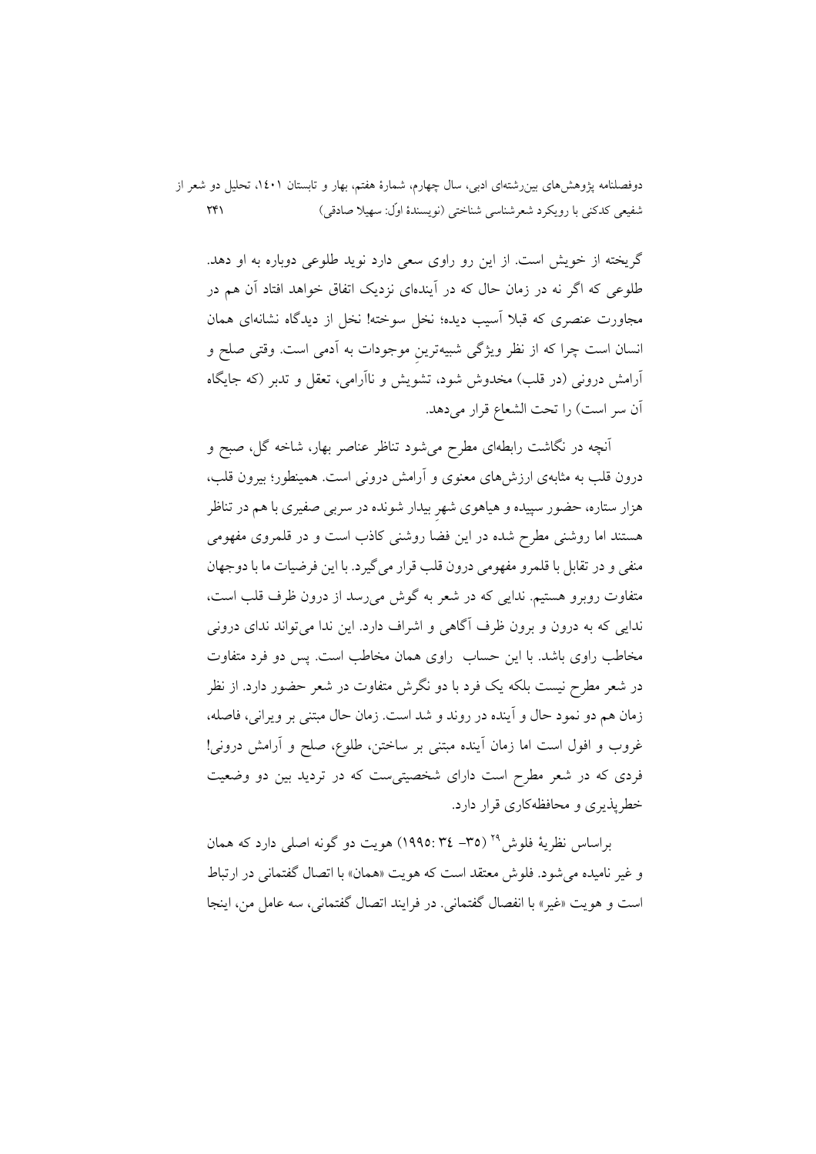دوفصلنامه پژوهشهای بین رشتهای ادبی، سال چهارم، شمارهٔ هفتم، بهار و تابستان ۱٤٠۱، تحلیل دو شعر از  $\uparrow\uparrow\uparrow$ شفيعي كدكني با رويكرد شعرشناسي شناختي (نويسندهٔ اوّل: سهيلا صادقي)

گریخته از خویش است. از این رو راوی سعی دارد نوید طلوعی دوباره به او دهد. طلوعی که اگر نه در زمان حال که در آیندهای نزدیک اتفاق خواهد افتاد آن هم در مجاورت عنصری که قبلا آسیب دیده؛ نخل سوخته! نخل از دیدگاه نشانهای همان انسان است چرا که از نظر ویژگی شبیهترین موجودات به اَدمی است. وقتی صلح و آرامش درونی (در قلب) مخدوش شود، تشویش و ناآرامی، تعقل و تدبر (که جایگاه أن سر است) را تحت الشعاع قرار مىدهد.

آنچه در نگاشت رابطهای مطرح می شود تناظر عناصر بهار، شاخه گل، صبح و درون قلب به مثابهی ارزشهای معنوی و آرامش درونی است. همینطور؛ بیرون قلب، هزار ستاره، حضور سپیده و هیاهوی شهر بیدار شونده در سرب*ی صف*یری با هم در تناظر هستند اما روشنی مطرح شده در این فضا روشنی کاذب است و در قلمروی مفهومی منفي و در تقابل با قلمرو مفهومي درون قلب قرار مي گيرد. با اين فرضيات ما با دوجهان متفاوت روبوو هستیم. ندایی که در شعر به گوش می رسد از درون ظرف قلب است، .<br>ندایی که به درون و برون ظرف آگاهی و اشراف دارد. این ندا می تواند ندای درونی مخاطب راوی باشد. با این حساب راوی همان مخاطب است. پس دو فرد متفاوت در شعر مطرح نیست بلکه یک فرد با دو نگرش متفاوت در شعر حضور دارد. از نظر زمان هم دو نمود حال و آینده در روند و شد است. زمان حال مبتنی بر ویرانی، فاصله، غروب و افول است اما زمان آینده مبتنی بر ساختن، طلوع، صلح و آرامش درونی! فردی که در شعر مطرح است دارای شخصیتی ست که در تردید بین دو وضعیت خطریذیری و محافظهکاری قرار دارد.

براساس نظرية فلوش<sup>٢٩</sup> (٣٥– ٣٤-١٩٩٥) هويت دو گونه اصلي دارد كه همان و غیر نامیده می شود. فلوش معتقد است که هویت «همان» با اتصال گفتمانی در ارتباط است و هو يت «غير» با انفصال گفتماني. در فرايند اتصال گفتماني، سه عامل من، اينجا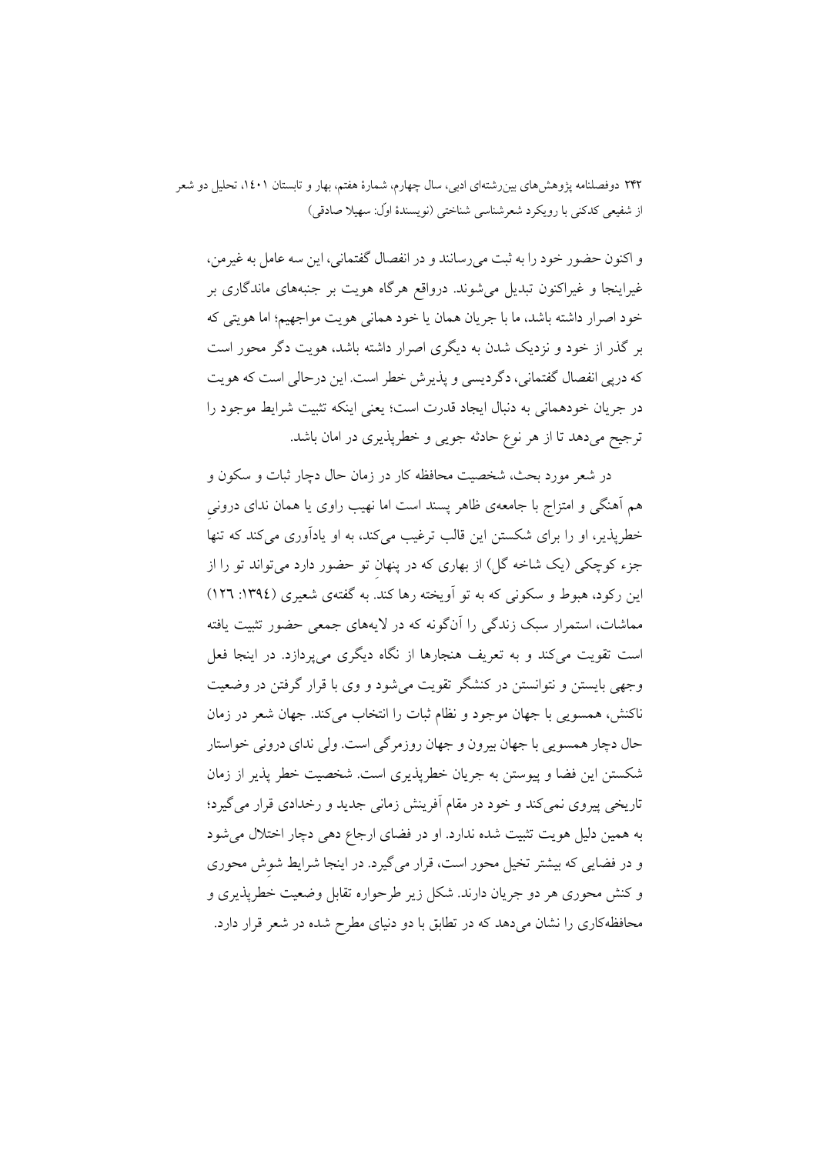و اکنون حضور خود را به ثبت می رسانند و در انفصال گفتمانی، این سه عامل به غیرمن، غیراینجا و غیراکنون تبدیل میشوند. درواقع هرگاه هویت بر جنبههای ماندگاری بر خود اصرار داشته باشد، ما با جريان همان يا خود هماني هويت مواجهيم؛ اما هويتي كه بر گذر از خود و نزدیک شدن به دیگری اصرار داشته باشد، هویت دگر محور است كه دريي انفصال گفتماني، دگرديسي و پذيرش خطر است. اين درحالي است كه هويت در جريان خودهماني به دنبال ايجاد قدرت است؛ يعني اينكه تثبيت شرايط موجود را ترجیح میدهد تا از هر نوع حادثه جویی و خطرپذیری در امان باشد.

در شعر مورد بحث، شخصیت محافظه کار در زمان حال دچار ثبات و سکون و هم آهنگی و امتزاج با جامعهی ظاهر پسند است اما نهیب راوی یا همان ندای درونی خطریذیر، او را برای شکستن این قالب ترغیب میکند، به او یادآوری میکند که تنها جزء کوچکی (یک شاخه گل) از بهاری که در پنهان تو حضور دارد میتواند تو را از این رکود، هبوط و سکونی که به تو اَویخته رها کند. به گفتهی شعیری (١٣٩٤: ١٢٦) مماشات، استمرار سبک زندگی را آنگونه که در لایههای جمعی حضور تثبیت یافته است تقویت میکند و به تعریف هنجارها از نگاه دیگری می پردازد. در اینجا فعل وجهی بایستن و نتوانستن در کنشگر تقویت میشود و وی با قرار گرفتن در وضعیت ناکنش، همسویی با جهان موجود و نظام ثبات را انتخاب میکند. جهان شعر در زمان حال دچار همسويي با جهان بيرون و جهان روزمرگي است. ولي نداي دروني خواستار شکستن این فضا و پیوستن به جریان خطریذیری است. شخصیت خطر پذیر از زمان تاریخی پیروی نمی کند و خود در مقام اَفرینش زمانی جدید و رخدادی قرار می گیرد؛ به همین دلیل هویت تثبیت شده ندارد. او در فضای ارجاع دهی دچار اختلال می شود و در فضایی که بیشتر تخیل محور است، قرار میگیرد. در اینجا شرایط شوش محوری و کنش محوری هر دو جریان دارند. شکل زیر طرحواره تقابل وضعیت خطرپذیری و محافظهکاری را نشان میدهد که در تطابق با دو دنیای مطرح شده در شعر قرار دارد.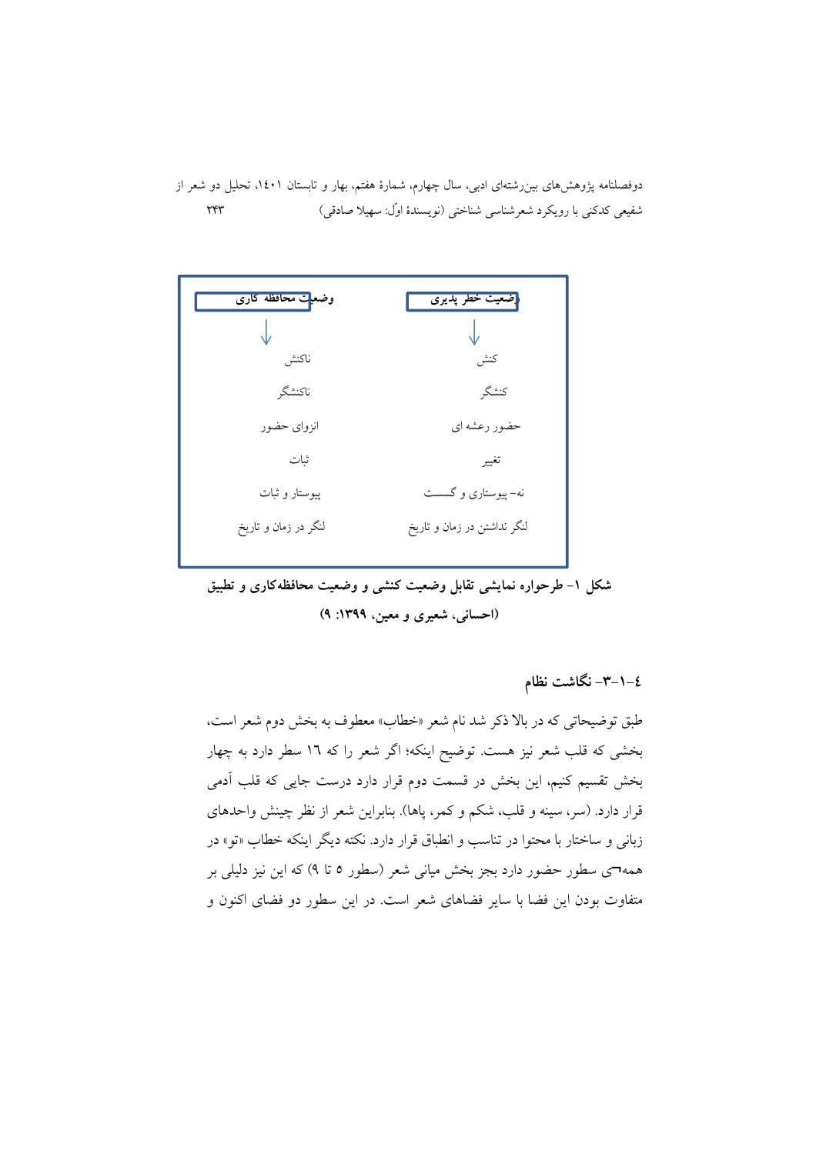دوفصلنامه پژوهشهای بین رشتهای ادبی، سال چهارم، شمارهٔ هفتم، بهار و تابستان ۱٤۰۱، تحلیل دو شعر از شفيعي كدكني با رويكرد شعرشناسي شناختي (نويسندهٔ اوّل: سهيلا صادقي) ٢۴٣



شکل ۱– طرحواره نمایشی تقابل وضعیت کنشی و وضعیت محافظهکاری و تطبیق (احسانی، شعیری و معین، ۱۳۹۹: ۹)

٤–١–٣– نگاشت نظام

طبق توضیحاتی که در بالا ذکر شد نام شعر «خطاب» معطوف به بخش دوم شعر است، بخشی که قلب شعر نیز هست. توضیح اینکه؛ اگر شعر را که ١٦ سطر دارد به چهار بخش تقسیم کنیم، این بخش در قسمت دوم قرار دارد درست جایی که قلب آدمی قرار دارد. (سر، سینه و قلب، شکم و کمر، پاها). بنابراین شعر از نظر چینش واحدهای زبانی و ساختار با محتوا در تناسب و انطباق قرار دارد. نکته دیگر اینکه خطاب «تو» در همه¬ی سطور حضور دارد بجز بخش میانی شعر (سطور ٥ تا ٩) که این نیز دلیلی بر متفاوت بودن این فضا با سایر فضاهای شعر است. در این سطور دو فضای اکنون و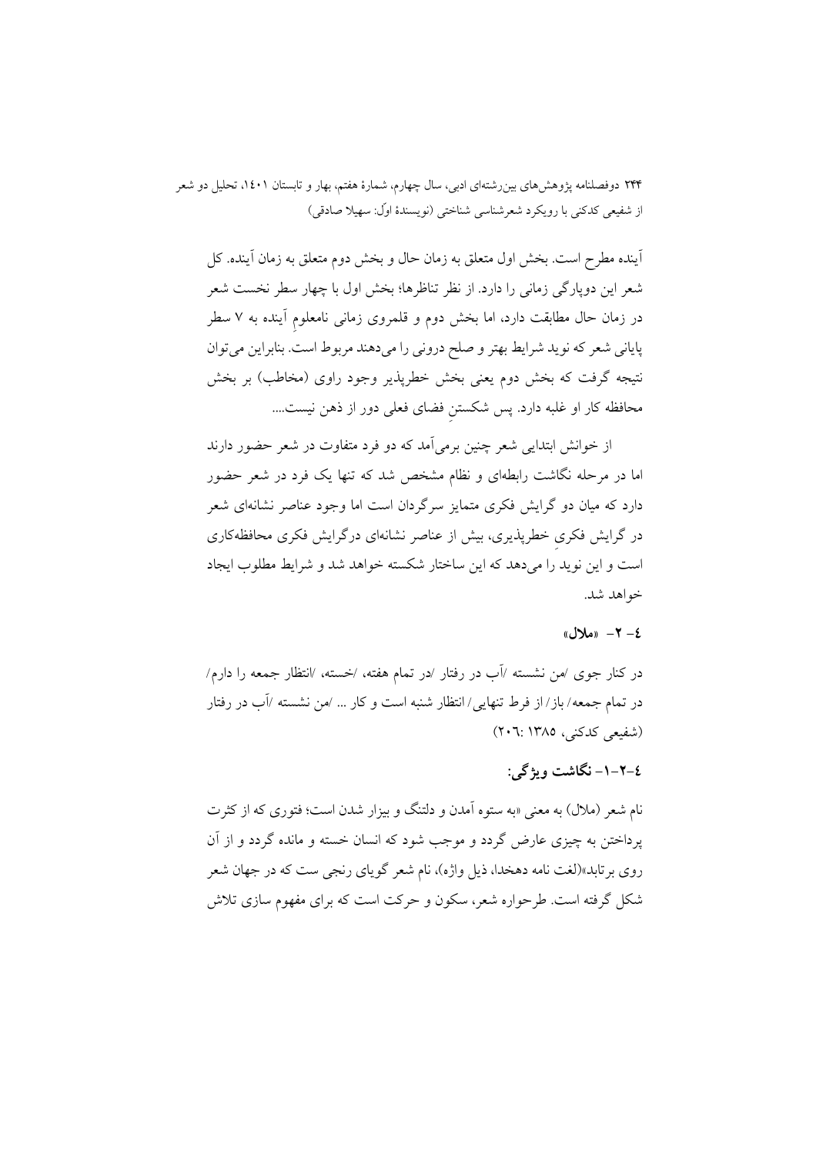اًينده مطرح است. بخش اول متعلق به زمان حال و بخش دوم متعلق به زمان اَينده. كل شعر این دوپارگی زمانی را دارد. از نظر تناظرها؛ بخش اول با چهار سطر نخست شعر در زمان حال مطابقت دارد، اما بخش دوم و قلمروی زمانی نامعلوم آینده به ۷ سطر پایانی شعر که نوید شرایط بهتر و صلح درونی را میدهند مربوط است. بنابراین میتوان نتیجه گرفت که بخش دوم یعنی بخش خطرپذیر وجود راوی (مخاطب) بر بخش محافظه کار او غلبه دارد. پس شکستن فضای فعلی دور از ذهن نیست....

از خوانش ابتدایی شعر چنین برمی آمد که دو فرد متفاوت در شعر حضور دارند اما در مرحله نگاشت رابطهای و نظام مشخص شد که تنها یک فرد در شعر حضور دارد که میان دو گرایش فکری متمایز سرگردان است اما وجود عناصر نشانهای شعر در گرایش فکری خطرپذیری، بیش از عناصر نشانهای درگرایش فکری محافظهکاری است و این نوید را میدهد که این ساختار شکسته خواهد شد و شرایط مطلوب ایجاد خواهد شد.

#### $d\mathcal{N} = \mathcal{N} - \ell$

در کنار جوی ⁄من نشسته ⁄آب در رفتار ⁄در تمام هفته، ⁄خسته، ⁄انتظار جمعه را دارم⁄ در تمام جمعه/باز/از فرط تنهایی/انتظار شنبه است و کار … /من نشسته /آب در رفتار (شفیعی کدکنی، ۱۳۸۵: ۲۰۲۰)

## ٤-٢-١- نگاشت ویژگی:

نام شعر (ملال) به معنی «به ستوه آمدن و دلتنگ و بیزار شدن است؛ فتوری که از کثرت پرداختن به چیزی عارض گردد و موجب شود که انسان خسته و مانده گردد و از آن روی برتابد»(لغت نامه دهخدا، ذیل واژه)، نام شعر گویای رنجی ست که در جهان شعر شکل گرفته است. طرحواره شعر، سکون و حرکت است که برای مفهوم سازی تلاش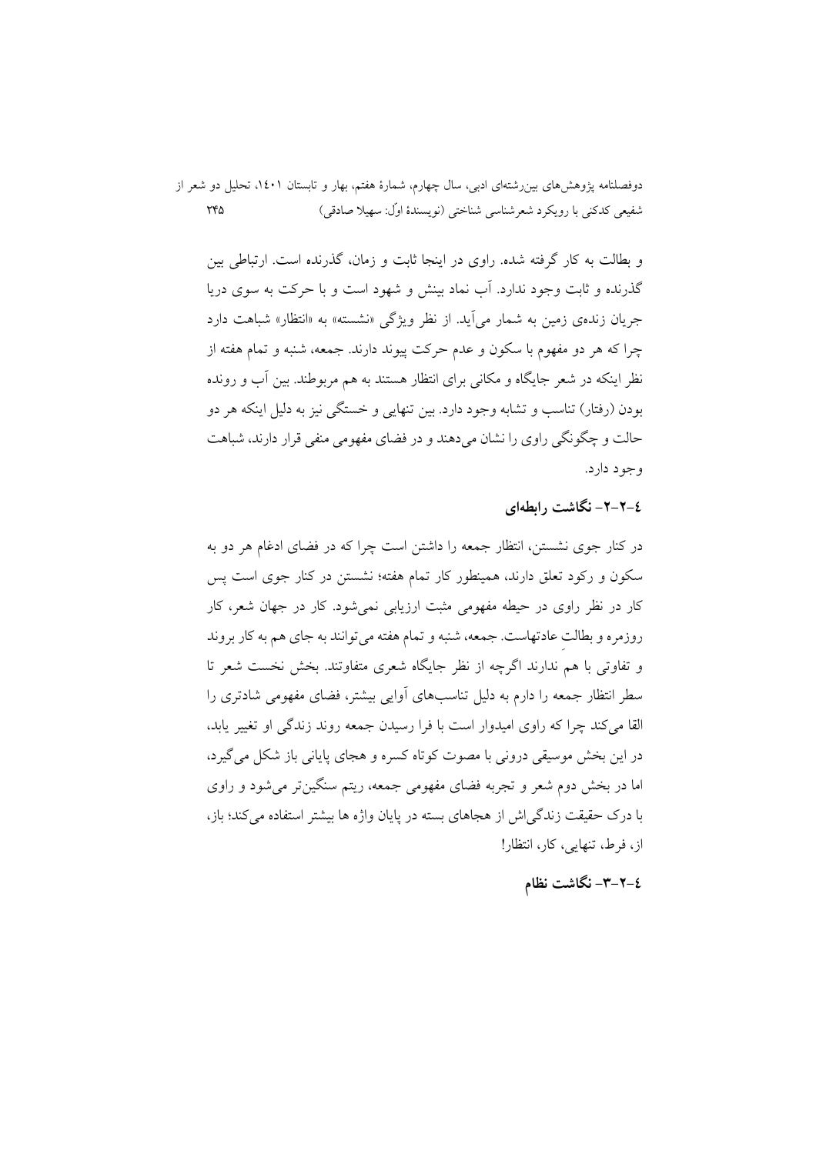و بطالت به کار گرفته شده. راوی در اینجا ثابت و زمان، گذرنده است. ارتباطی بین گذرنده و ثابت وجود ندارد. آب نماد بینش و شهود است و با حرکت به سوی دریا جریان زندهی زمین به شمار می آید. از نظر ویژگی «نشسته» به «انتظار» شباهت دارد چرا که هر دو مفهوم با سکون و عدم حرکت پیوند دارند. جمعه، شنبه و تمام هفته از نظر اینکه در شعر جایگاه و مکانی برای انتظار هستند به هم مربوطند. بین آب و رونده بودن (رفتار) تناسب و تشابه وجود دارد. بین تنهایی و خستگی نیز به دلیل اینکه هر دو حالت و چگونگی راوی را نشان میدهند و در فضای مفهومی منفی قرار دارند، شباهت وجود دارد.

## ٤-٢-٢- نگاشت رابطهای

در کنار جوی نشستن، انتظار جمعه را داشتن است چرا که در فضای ادغام هر دو به سکون و رکود تعلق دارند، همینطور کار تمام هفته؛ نشستن در کنار جوی است پس کار در نظر راوی در حیطه مفهومی مثبت ارزیابی نمی شود. کار در جهان شعر، کار روزمره و بطالت عادتهاست. جمعه، شنبه و تمام هفته می توانند به جای هم به کار بروند و تفاوتی با هم ندارند اگرچه از نظر جایگاه شعری متفاوتند. بخش نخست شعر تا سطر انتظار جمعه را دارم به دلیل تناسبهای اَوایی بیشتر، فضای مفهومی شادتری را القا می کند چرا که راوی امیدوار است با فرا رسیدن جمعه روند زندگی او تغییر باید، در این بخش موسیقی درونی با مصوت کو تاه کسره و هجای پایانی باز شکل می گیرد، اما در بخش دوم شعر و تجربه فضای مفهومی جمعه، ریتم سنگینتر می شود و راوی با درک حقیقت زندگی اش از هجاهای بسته در پایان واژه ها بیشتر استفاده می کند؛ باز، از، فرط، تنهایی، کار، انتظار!

## ٤–٣–٣– نگاشت نظام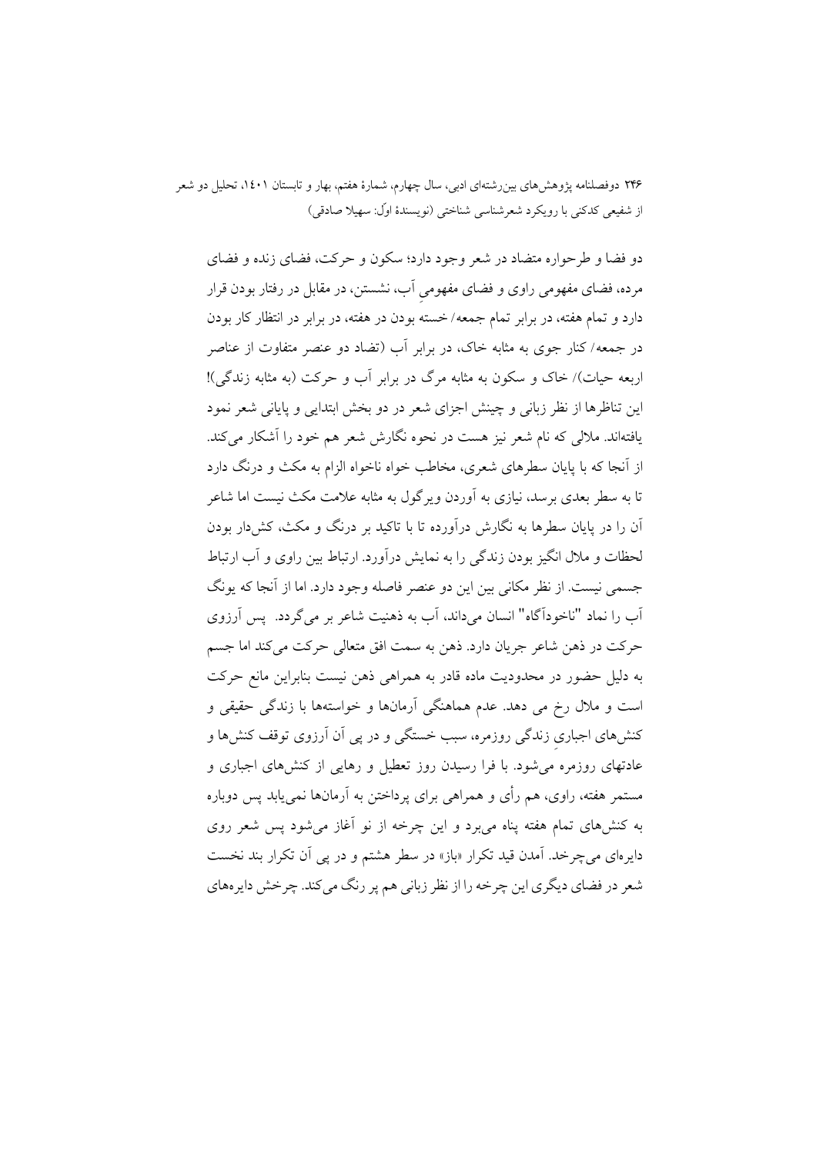دو فضا و طرحواره متضاد در شعر وجود دارد؛ سکون و حرکت، فضای زنده و فضای مرده، فضای مفهومی راوی و فضای مفهومی آب، نشستن، در مقابل در رفتار بودن قرار دارد و تمام هفته، در برابر تمام جمعه/ خسته بودن در هفته، در برابر در انتظار کار بودن در جمعه/ کنار جوی به مثابه خاک، در برابر آب (تضاد دو عنصر متفاوت از عناصر اربعه حیات)/ خاک و سکون به مثابه مرگ در برابر آب و حرکت (به مثابه زندگی)! این تناظرها از نظر زبانی و چینش اجزای شعر در دو بخش ابتدایی و پایانی شعر نمود یافتهاند. ملالی که نام شعر نیز هست در نحوه نگارش شعر هم خود را آشکار می کند. از آنجا که با پایان سطرهای شعری، مخاطب خواه ناخواه الزام به مکث و درنگ دارد تا به سطر بعدی برسد، نیازی به آوردن ویرگول به مثابه علامت مکث نیست اما شاعر آن را در پایان سطرها به نگارش درآورده تا با تاکید بر درنگ و مکث، کش دار بودن لحظات و ملال انگیز بودن زندگی را به نمایش درآورد. ارتباط بین راوی و آب ارتباط جسمی نیست. از نظر مکانی بین این دو عنصر فاصله وجود دارد. اما از آنجا که یونگ آب را نماد "ناخودآگاه" انسان میداند، آب به ذهنیت شاعر بر میگردد. یس آرزوی حرکت در ذهن شاعر جريان دارد. ذهن به سمت افق متعالى حرکت مى کند اما جسم به دلیل حضور در محدودیت ماده قادر به همراهی ذهن نیست بنابراین مانع حرکت است و ملال رخ می دهد. عدم هماهنگی آرمانها و خواستهها با زندگی حقیقی و کنشهای اجباری زندگی روزمره، سبب خستگی و در پی آن آرزوی توقف کنشها و عادتهای روزمره می شود. با فرا رسیدن روز تعطیل و رهایی از کنشهای اجباری و مستمر هفته، راوي، هم رأي و همراهي براي يرداختن به آرمانها نمي يابد پس دوباره به کنشهای تمام هفته پناه می برد و این چرخه از نو آغاز می شود پس شعر روی دایرهای می چرخد. آمدن قید تکرار «باز» در سطر هشتم و در پی آن تکرار بند نخست شعر در فضای دیگری این چرخه را از نظر زبانی هم پر رنگ میکند. چرخش دایرههای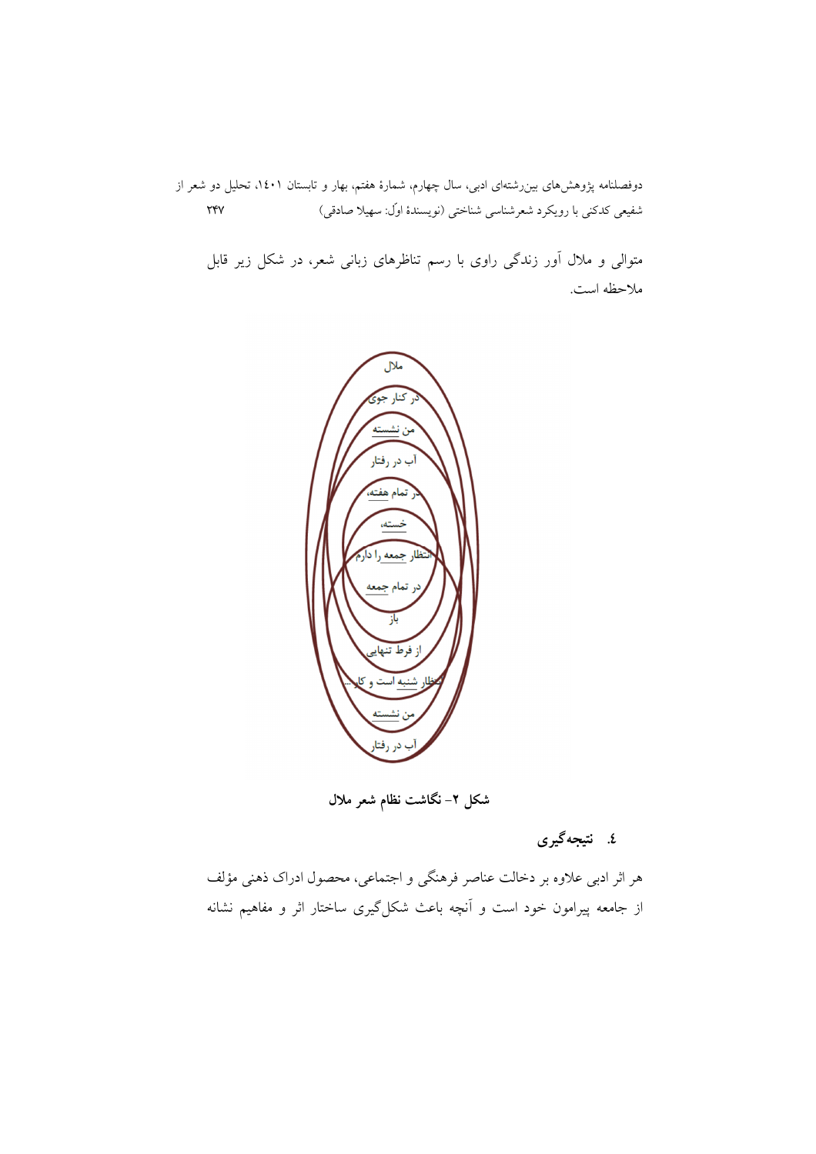متوالی و ملال آور زندگی راوی با رسم تناظرهای زبانی شعر، در شکل زیر قابل ملاحظه است.



شکل ۲– نگاشت نظام شعر ملال

٤. نتيجهگيري

هر اثر ادبی علاوه بر دخالت عناصر فرهنگی و اجتماعی، محصول ادراک ذهنی مؤلف از جامعه پیرامون خود است و آنچه باعث شکل گیری ساختار اثر و مفاهیم نشانه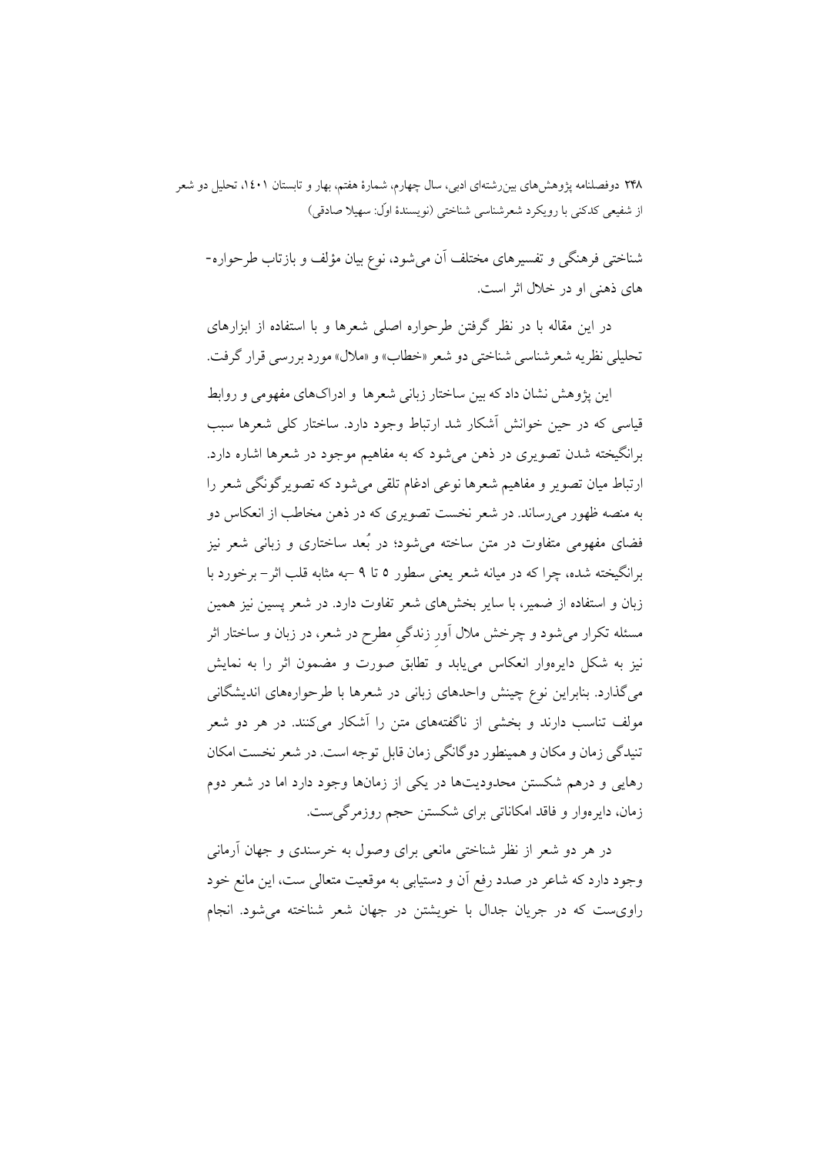شناختی فرهنگی و تفسیرهای مختلف آن میشود، نوع بیان مؤلف و بازتاب طرحواره-های ذهنی او در خلال اثر است.

در این مقاله با در نظر گرفتن طرحواره اصلی شعرها و با استفاده از ابزارهای تحليلي نظريه شعر شناسي شناختي دو شعر «خطاب» و «ملال» مورد بررسي قرار گرفت.

این یژوهش نشان داد که بین ساختار زبانی شعرها و ادراکهای مفهومی و روابط قیاسی که در حین خوانش آشکار شد ارتباط وجود دارد. ساختار کلی شعرها سبب برانگیخته شدن تصویری در ذهن می شود که به مفاهیم موجود در شعرها اشاره دارد. ارتباط میان تصویر و مفاهیم شعرها نوعی ادغام تلقی میشود که تصویرگونگی شعر را به منصه ظهور میرساند. در شعر نخست تصویری که در ذهن مخاطب از انعکاس دو فضای مفهومی متفاوت در متن ساخته میشود؛ در بُعد ساختاری و زبانی شعر نیز برانگیخته شده، چرا که در میانه شعر یعنی سطور ٥ تا ٩ –به مثابه قلب اثر – برخورد با زبان و استفاده از ضمیر، با سایر بخشهای شعر تفاوت دارد. در شعر پسین نیز همین مسئله تکرار میشود و چرخش ملال آور زندگی مطرح در شعر، در زبان و ساختار اثر نیز به شکل دایرهوار انعکاس مییابد و تطابق صورت و مضمون اثر را به نمایش می گذارد. بنابراین نوع چینش واحدهای زبانی در شعرها با طرحوارههای اندیشگانی مولف تناسب دارند و بخشی از ناگفتههای متن را آشکار می کنند. در هر دو شعر تنیدگی زمان و مکان و همینطور دوگانگی زمان قابل توجه است. در شعر نخست امکان رهایی و درهم شکستن محدودیتها در یکی از زمانها وجود دارد اما در شعر دوم زمان، دایرِ موار و فاقد امکاناتی برای شکستن حجم روزمر گی ست.

در هر دو شعر از نظر شناختی مانعی برای وصول به خرسندی و جهان آرمانی وجود دارد که شاعر در صدد رفع آن و دستیابی به موقعیت متعالی ست، این مانع خود راوی ست که در جریان جدال با خویشتن در جهان شعر شناخته می شود. انجام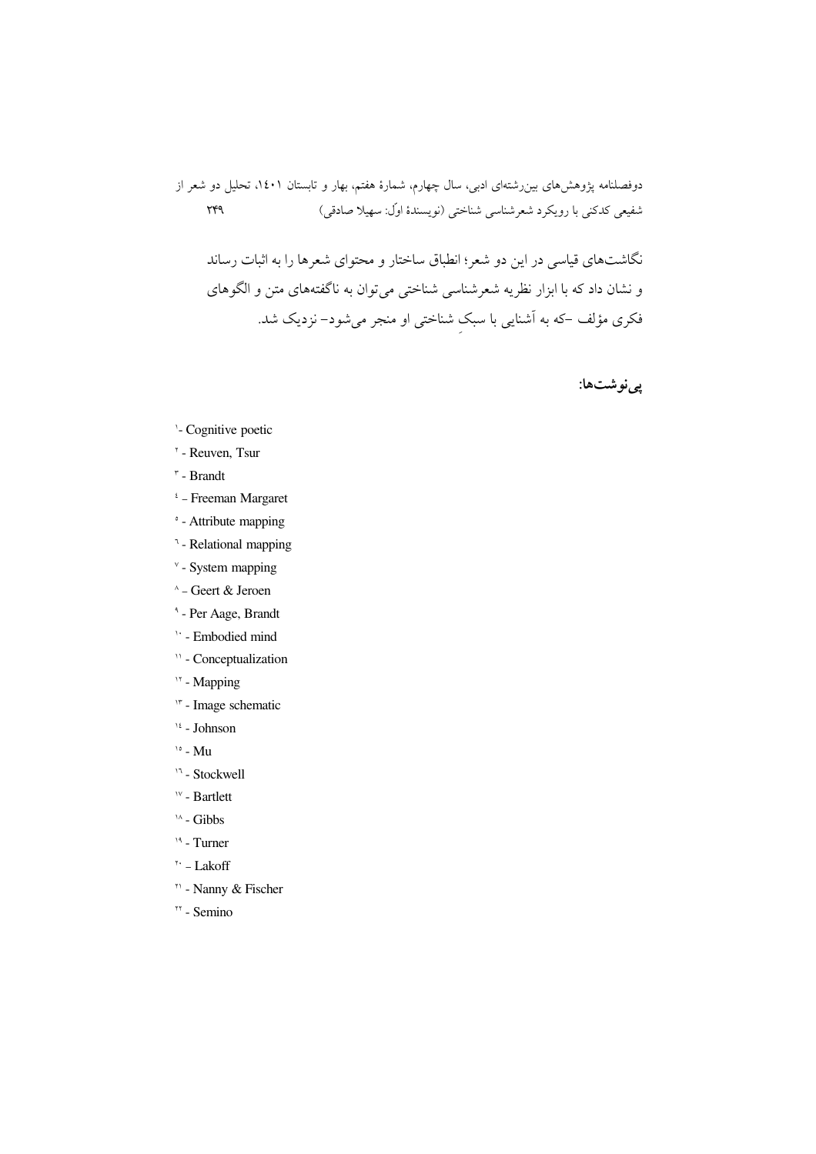نگاشتهای قیاسی در این دو شعر؛ انطباق ساختار و محتوای شعرها را به اثبات رساند و نشان داد که با ابزار نظریه شعرشناسی شناختی میتوان به ناگفتههای متن و الگوهای فکری مؤلف –که به اَشنایی با سبک شناختی او منجر میشود– نزدیک شد.

پينوشتها:

- '- Cognitive poetic
- <sup>\*</sup> Reuven, Tsur
- $\mathbf{r}$  Brandt
- $i$  Freeman Margaret
- ° Attribute mapping
- <sup>1</sup> Relational mapping
- $\textdegree$  System mapping
- ^ Geert & Jeroen
- <sup>4</sup> Per Aage, Brandt
- ' Embodied mind
- <sup>11</sup> Conceptualization
- <sup>11</sup> Mapping
- " Image schematic
- $16$  Johnson
- $\frac{1}{2}$  Mu
- <sup>11</sup> Stockwell
- <sup>1v</sup> Bartlett
- $\lambda$  Gibbs
- $19 Turner$
- $\mathbf{A}^{\dagger}$  Lakoff
- <sup>11</sup> Nanny & Fischer
- <sup>11</sup> Semino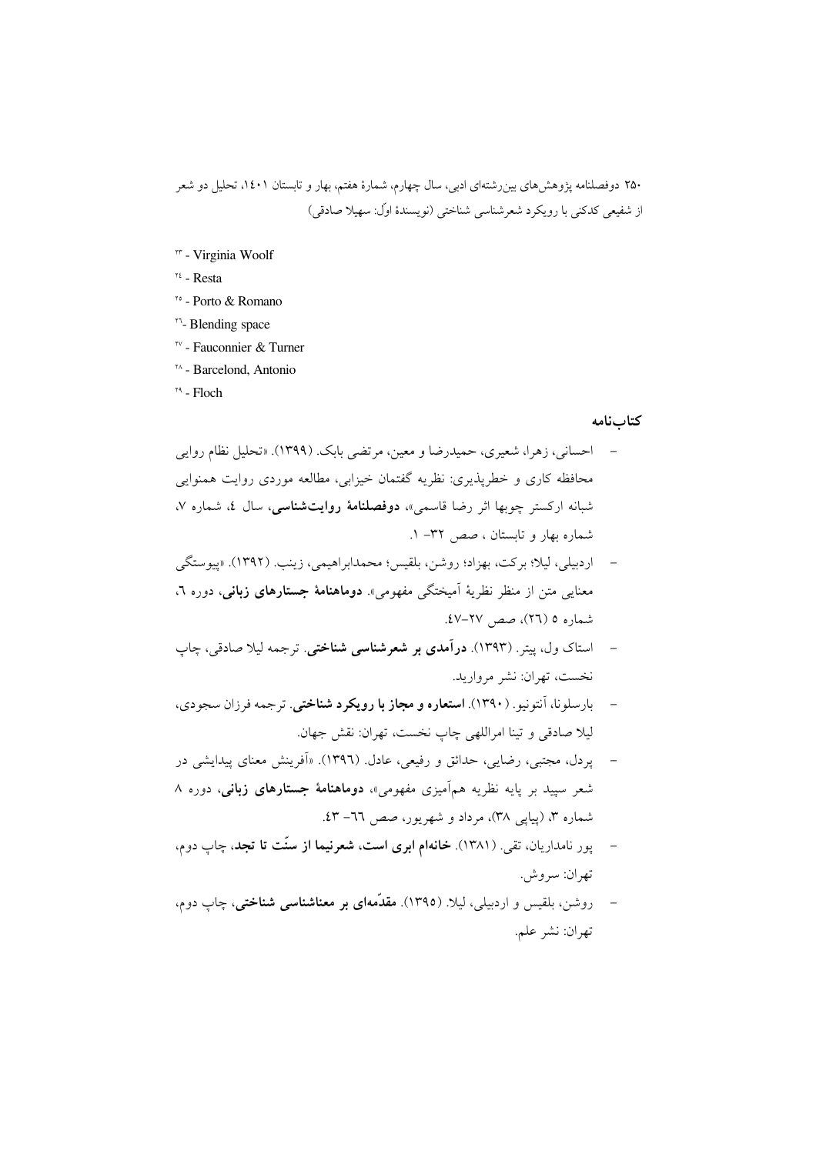- " Virginia Woolf
- $\mathfrak{r}$  Resta
- vo Porto & Romano
- "<sup>-</sup>- Blending space
- <sup>\*v</sup> Fauconnier & Turner
- <sup>14</sup> Barcelond, Antonio
- $<sup>14</sup>$  Floch</sup>

#### كتابنامه

- احساني، زهرا، شعيري، حميدرضا و معين، مرتضى بابك. (١٣٩٩). «تحليل نظام روايي محافظه کاری و خطرپذیری: نظریه گفتمان خیزابی، مطالعه موردی روایت همنوایی شبانه ارکستر چوبها اثر رضا قاسمی»، **دوفصلنامهٔ روایتشناسی**، سال ٤، شماره ٧، شماره بهار و تابستان ، صص ٣٢- ١.
- \_ اردیبلی، لپلا؛ پر کت، پهزاد؛ روشن، بلقیس؛ محمدابراهیمی، زینب. (۱۳۹۲). «پیوستگی معنایی متن از منظر نظریهٔ آمیختگی مفهومی». دوماهنامهٔ جستارهای زبانی، دوره ٦، شماره ٥ (٢٦)، صص ٢٧-٤٧.
- استاک ول، پیتر ـ (۱۳۹۳). **درآمدی بر شعرشناسی شناختی**. ترجمه لیلا صادقی، چاپ نخست، تهران: نشر مرواريد.
- بارسلونا، آنتونيو. (١٣٩٠). **استعاره و مجاز با رويكرد شناخت**ى. ترجمه فرزان سجودي، ليلا صادقي و تينا امراللهي چاپ نخست، تهران: نقش جهان.
- یردل، مجتبی، رضایی، حدائق و رفیعی، عادل. (١٣٩٦). «أفرینش معنای پیدایشی در شعر سپید بر پایه نظریه همآمیزی مفهومی»، دوماهنامهٔ جستارهای زبانی، دوره ۸ شماره ۳، (پیایی ۳۸)، مرداد و شهریور، صص ٦٦– ٤٣.
- پور نامداریان، تقی (۱۳۸۱). **خانهام ابری است، شعرنیما از سنّت تا تجد**، چاپ دوم، تھ ان: سروش.
- روشن، بلقیس و اردبیلی، لیلا. (١٣٩٥). مقدَّمه**ای بر معناشناسی شناختی**، چاپ دوم. تهران: نشر علم.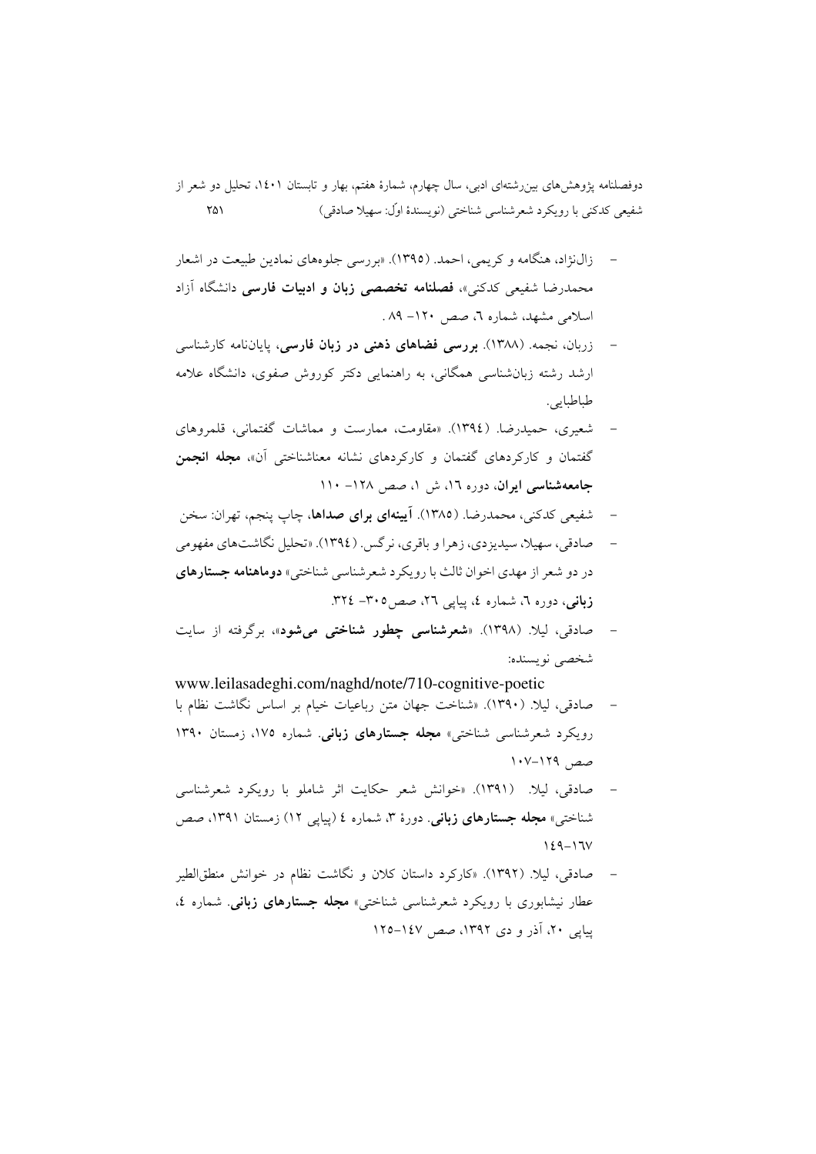- زالنژاد، هنگامه و کریمی، احمد. (۱۳۹۵). «بررسی جلوههای نمادین طبیعت در اشعار محمدرضا شفیعی کدکنی»، فصلنامه تخصصی زبان و ادبیات فارسی دانشگاه آزاد اسلامی مشهد، شماره ٦، صص ١٢٠- ٨٩ .
- زربان، نجمه. (۱۳۸۸). بررسی فضاهای ذهنی در زبان فارسی، پایاننامه کارشناسی ارشد رشته زبان شناسی همگانی، به راهنمایی دکتر کوروش صفوی، دانشگاه علامه طباطبايي.
- شعیری، حمیدرضا. (١٣٩٤). «مقاومت، ممارست و مماشات گفتمانی، قلمروهای گفتمان و کارکردهای گفتمان و کارکردهای نشانه معناشناختی آن»، م**جله انجمن** جامعهشناسی ایران، دوره ۱۲، ش ۱، صص ۱۲۸– ۱۱۰
- شفیعی کدکنی، محمدرضا. (۱۳۸۵). آیینهای برای صداها، چاپ پنجم، تهران: سخن  $\overline{\phantom{a}}$
- صادقي، سهيلا، سيديزدي، زهرا و باقري، نرگس. (١٣٩٤). «تحليل نگاشتهاي مفهومي در دو شعر از مهدی اخوان ثالث با رویکرد شعر شناسی شناختی» **دوماهنامه جستارهای** زبانی، دوره ٦، شماره ٤، پیاپی ٢٦، صص٥.٣٠- ٣٢٤.
- صادقی، لیلا. (۱۳۹۸). «**شعرشناسی چطور شناختی می شود**»، برگرفته از سایت شخصي نويسنده:

www.leilasadeghi.com/naghd/note/710-cognitive-poetic صادقی، لیلا. (١٣٩٠). «شناخت جهان متن رباعیات خیام بر اساس نگاشت نظام با رویکرد شعرشناسی شناختی» مجله جستارهای زبانی. شماره ۱۷۵، زمستان ۱۳۹۰ صص ١٢٩-١٠٧

- صادقی، لیلا. (۱۳۹۱). «خوانش شعر حکایت اثر شاملو با رویکرد شعرشناسی شناختی» **مجله جستارهای زبانی**. دورهٔ ۳، شماره ٤ (پیایی ۱۲) زمستان ۱۳۹۱، صص  $129 - 17V$
- صادقی، لیلا. (١٣٩٢). «کارکرد داستان کلان و نگاشت نظام در خوانش منطقالطیر عطار نیشابوری با رویکرد شعرشناسی شناختی» مجله جستارهای زبانی شماره ٤، یبایی ۲۰، آذر و دی ۱۳۹۲، صص ۱٤۷–۱۲۵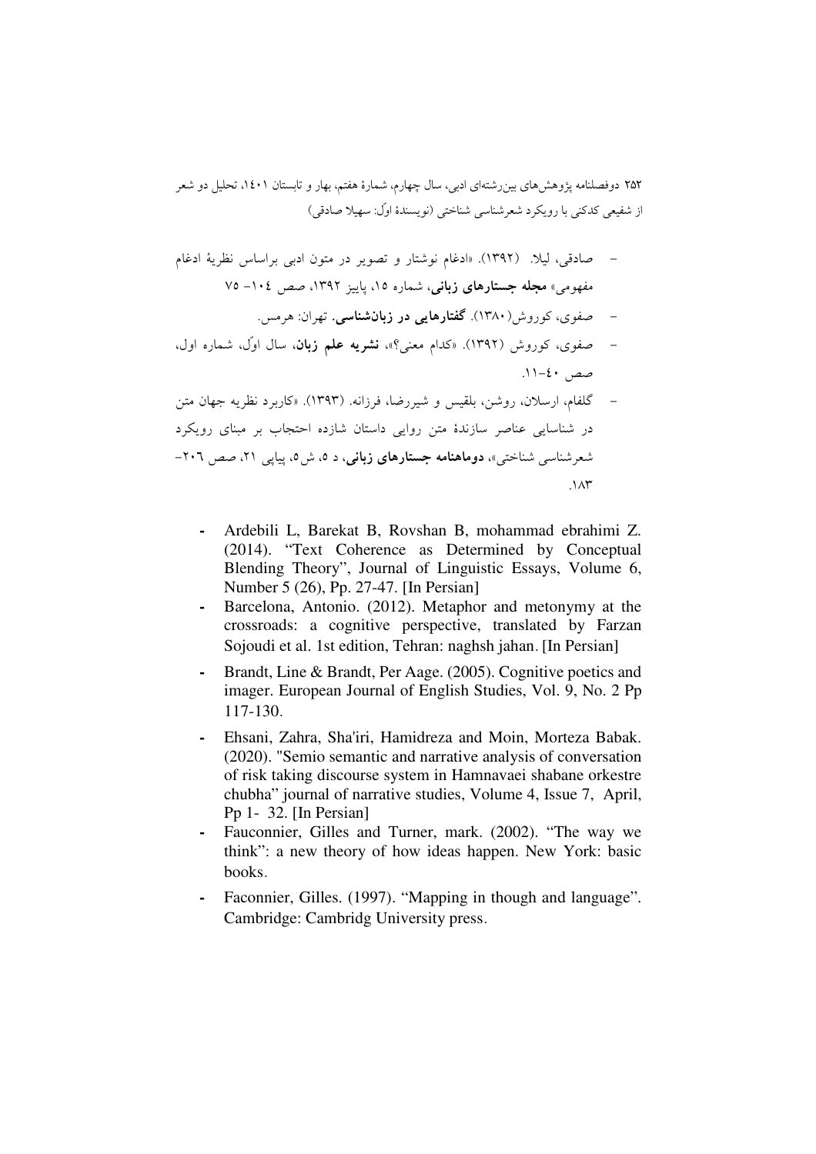- صادقي، ليلًا. (١٣٩٢). «ادغام نوشتار و تصوير در متون ادبي براساس نظرية ادغام مفهومی» مجله جستارهای زبانی، شماره ۱۵، پاییز ۱۳۹۲، صص ۱۰٤– ۷۵
	- صفوی، کوروش(۱۳۸۰). گفتارهایی در زبانشناسی. تهران: هرمس.
- صفوی، کوروش (۱۳۹۲). «کدام معنی؟»، نشریه علم زبان، سال اوّل، شماره اول،  $11-2 \cdot 2-11$ .
- گلفام، ارسلان، روشن، بلقيس و شيږرضا، فرزانه. (١٣٩٣). «کاربرد نظريه جهان متن در شناسایی عناصر سازندهٔ متن روایی داستان شازده احتجاب بر مبنای رویکرد شعرشناسی شناختی»، **دوماهنامه جستارهای زبانی**، د ۵، ش ۵، پیایی ۲۱، صص ۲۰۲- $\lambda x$ 
	- Ardebili L, Barekat B, Rovshan B, mohammad ebrahimi Z.  $\blacksquare$ (2014). "Text Coherence as Determined by Conceptual Blending Theory", Journal of Linguistic Essays, Volume 6, Number 5 (26), Pp. 27-47. [In Persian]
	- Barcelona, Antonio. (2012). Metaphor and metonymy at the crossroads: a cognitive perspective, translated by Farzan Sojoudi et al. 1st edition, Tehran: naghsh jahan. [In Persian]
	- Brandt, Line & Brandt, Per Aage. (2005). Cognitive poetics and imager. European Journal of English Studies, Vol. 9, No. 2 Pp 117-130.
	- Ehsani, Zahra, Sha'iri, Hamidreza and Moin, Morteza Babak. (2020). "Semio semantic and narrative analysis of conversation of risk taking discourse system in Hamnavaei shabane orkestre chubha" journal of narrative studies, Volume 4, Issue 7, April, Pp 1- 32. [In Persian]
	- Fauconnier, Gilles and Turner, mark. (2002). "The way we  $\overline{\phantom{a}}$ think": a new theory of how ideas happen. New York: basic books.
	- Faconnier, Gilles. (1997). "Mapping in though and language". Cambridge: Cambridg University press.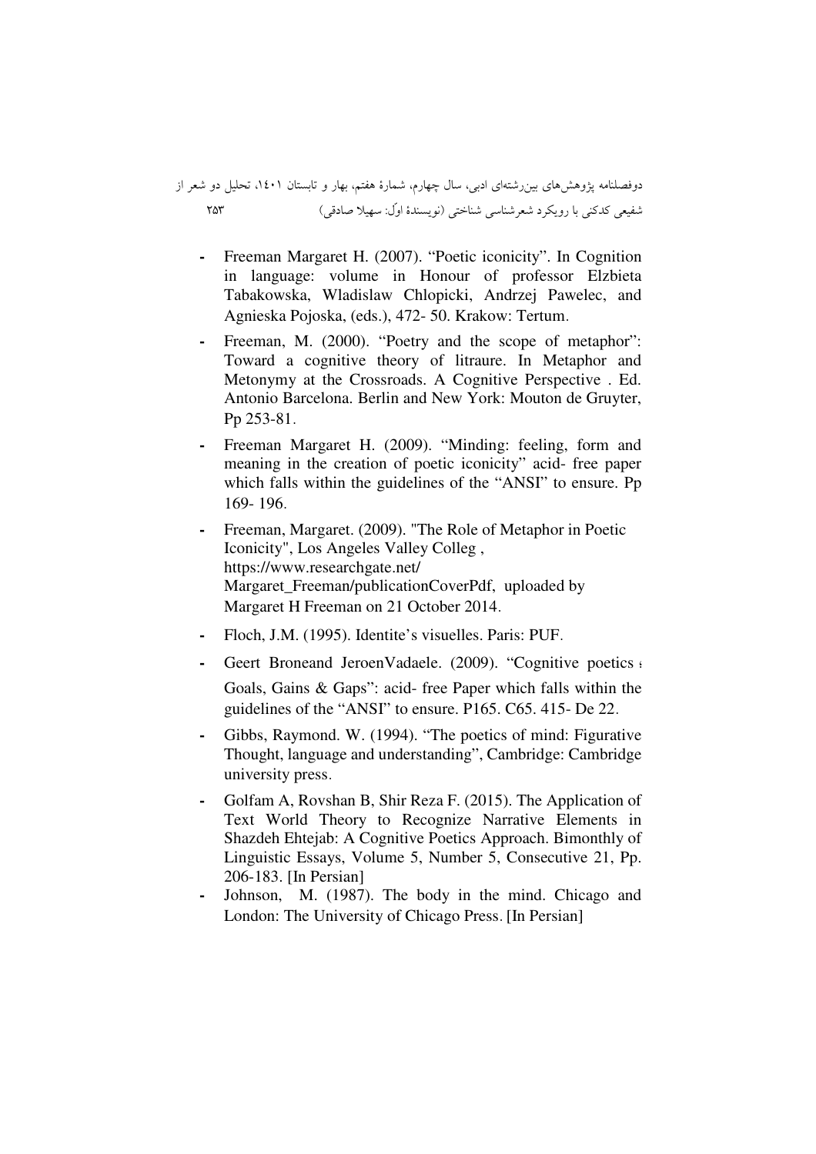دوفصلنامه پژوهشهای بینرشتهای ادبی، سال چهارم، شمارهٔ هفتم، بهار و تابستان ۱٤۰۱، تحلیل دو شعر از 253 ( - : a& %)"Q\_  &- ` 
" A

- **-** Freeman Margaret H. (2007). "Poetic iconicity". In Cognition in language: volume in Honour of professor Elzbieta Tabakowska, Wladislaw Chlopicki, Andrzej Pawelec, and Agnieska Pojoska, (eds.), 472- 50. Krakow: Tertum.
- Freeman, M. (2000). "Poetry and the scope of metaphor": Toward a cognitive theory of litraure. In Metaphor and Metonymy at the Crossroads. A Cognitive Perspective . Ed. Antonio Barcelona. Berlin and New York: Mouton de Gruyter, Pp 253-81.
- Freeman Margaret H. (2009). "Minding: feeling, form and meaning in the creation of poetic iconicity" acid- free paper which falls within the guidelines of the "ANSI" to ensure. Pp 169- 196.
- **-** Freeman, Margaret. (2009). "The Role of Metaphor in Poetic Iconicity", Los Angeles Valley Colleg , https://www.researchgate.net/ Margaret\_Freeman/publicationCoverPdf, uploaded by Margaret H Freeman on 21 October 2014.
- **-** Floch, J.M. (1995). Identite's visuelles. Paris: PUF.
- Geert Broneand JeroenVadaele. (2009). "Cognitive poetics and Goals, Gains & Gaps": acid- free Paper which falls within the guidelines of the "ANSI" to ensure. P165. C65. 415- De 22.
- **-** Gibbs, Raymond. W. (1994). "The poetics of mind: Figurative Thought, language and understanding", Cambridge: Cambridge university press.
- **-** Golfam A, Rovshan B, Shir Reza F. (2015). The Application of Text World Theory to Recognize Narrative Elements in Shazdeh Ehtejab: A Cognitive Poetics Approach. Bimonthly of Linguistic Essays, Volume 5, Number 5, Consecutive 21, Pp. 206-183. [In Persian]
- **-** Johnson, M. (1987). The body in the mind. Chicago and London: The University of Chicago Press. [In Persian]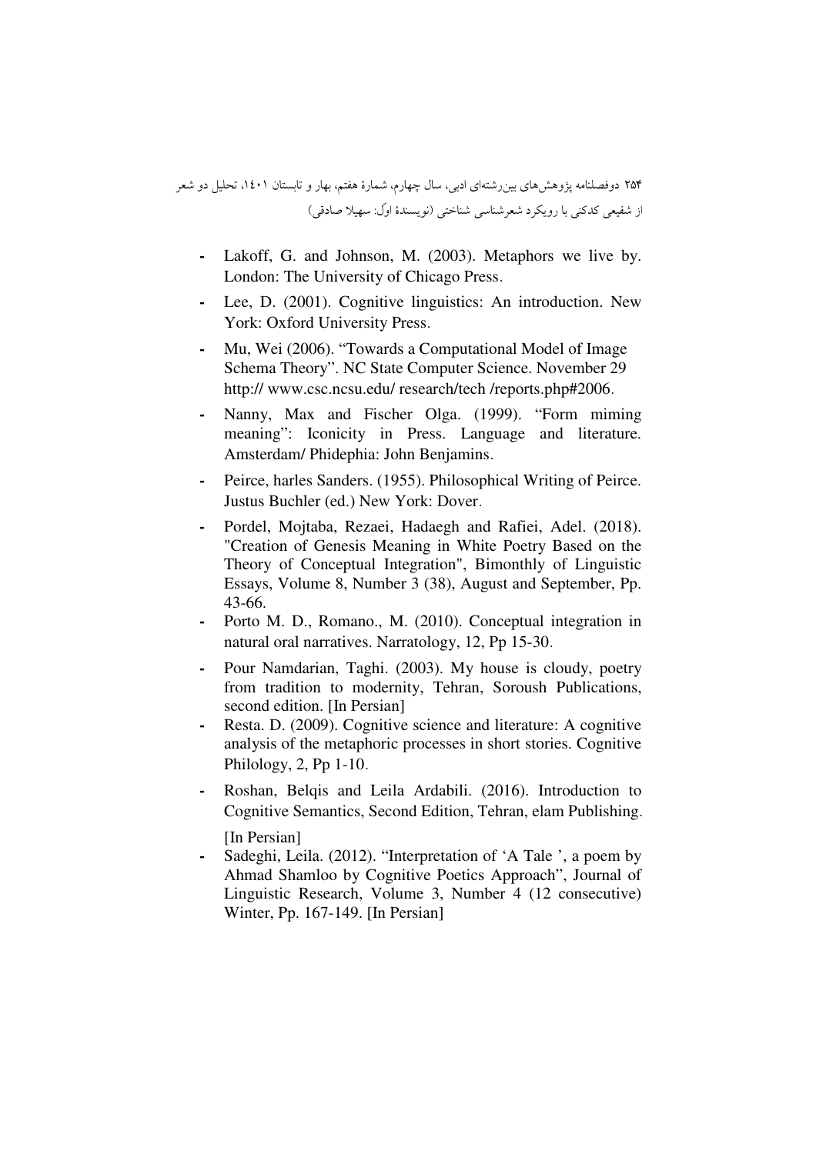- **-** Lakoff, G. and Johnson, M. (2003). Metaphors we live by. London: The University of Chicago Press.
- **-** Lee, D. (2001). Cognitive linguistics: An introduction. New York: Oxford University Press.
- **-** Mu, Wei (2006). "Towards a Computational Model of Image Schema Theory". NC State Computer Science. November 29 http:// www.csc.ncsu.edu/ research/tech /reports.php#2006.
- **-** Nanny, Max and Fischer Olga. (1999). "Form miming meaning": Iconicity in Press. Language and literature. Amsterdam/ Phidephia: John Benjamins.
- **-** Peirce, harles Sanders. (1955). Philosophical Writing of Peirce. Justus Buchler (ed.) New York: Dover.
- **-** Pordel, Mojtaba, Rezaei, Hadaegh and Rafiei, Adel. (2018). "Creation of Genesis Meaning in White Poetry Based on the Theory of Conceptual Integration", Bimonthly of Linguistic Essays, Volume 8, Number 3 (38), August and September, Pp. 43-66.
- **-** Porto M. D., Romano., M. (2010). Conceptual integration in natural oral narratives. Narratology, 12, Pp 15-30.
- **-** Pour Namdarian, Taghi. (2003). My house is cloudy, poetry from tradition to modernity, Tehran, Soroush Publications, second edition. [In Persian]
- **-** Resta. D. (2009). Cognitive science and literature: A cognitive analysis of the metaphoric processes in short stories. Cognitive Philology, 2, Pp 1-10.
- **-** Roshan, Belqis and Leila Ardabili. (2016). Introduction to Cognitive Semantics, Second Edition, Tehran, elam Publishing. [In Persian]
- **-** Sadeghi, Leila. (2012). "Interpretation of 'A Tale ', a poem by Ahmad Shamloo by Cognitive Poetics Approach", Journal of Linguistic Research, Volume 3, Number 4 (12 consecutive) Winter, Pp. 167-149. [In Persian]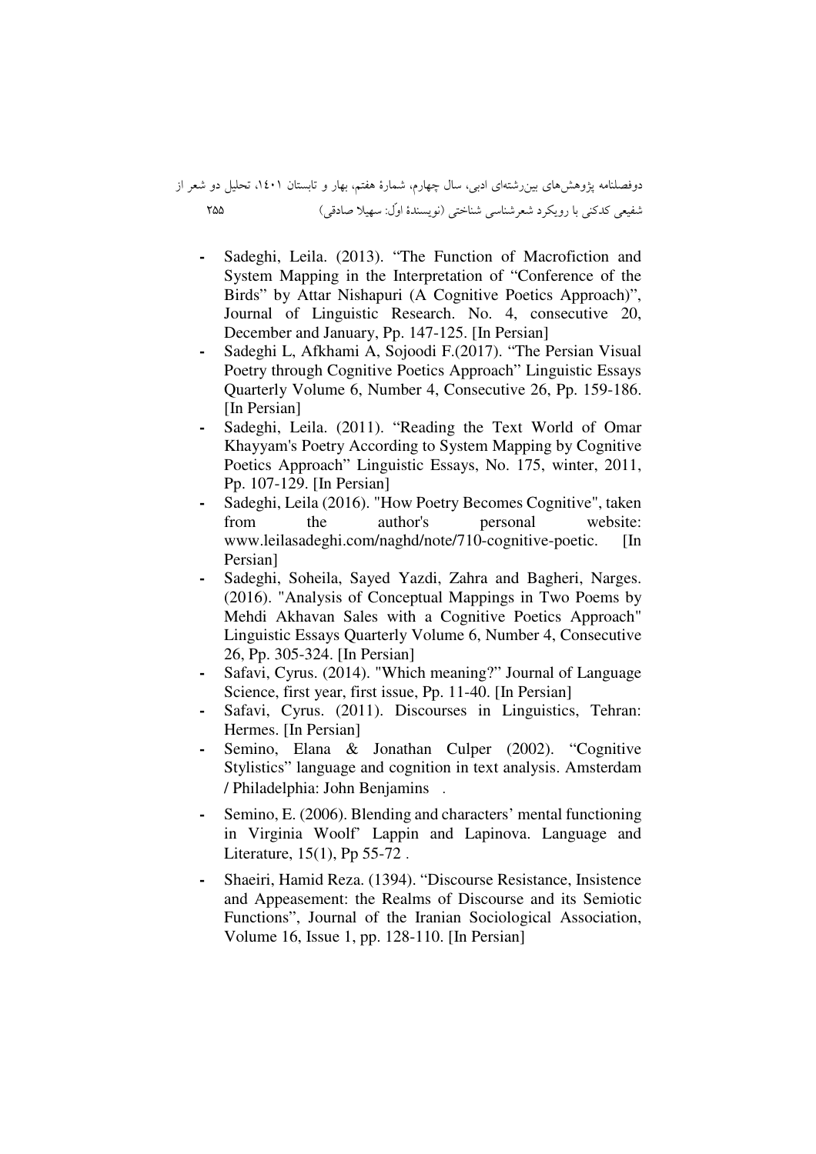# دوفصلنامه پژوهشهای بینرشتهای ادبی، سال چهارم، شمارهٔ هفتم، بهار و تابستان ۱٤۰۱، تحلیل دو شعر از 255 ( - : a& %)"Q\_  &- ` 
" A

- **-** Sadeghi, Leila. (2013). "The Function of Macrofiction and System Mapping in the Interpretation of "Conference of the Birds" by Attar Nishapuri (A Cognitive Poetics Approach)", Journal of Linguistic Research. No. 4, consecutive 20, December and January, Pp. 147-125. [In Persian]
- **-** Sadeghi L, Afkhami A, Sojoodi F.(2017). "The Persian Visual Poetry through Cognitive Poetics Approach" Linguistic Essays Quarterly Volume 6, Number 4, Consecutive 26, Pp. 159-186. [In Persian]
- **-** Sadeghi, Leila. (2011). "Reading the Text World of Omar Khayyam's Poetry According to System Mapping by Cognitive Poetics Approach" Linguistic Essays, No. 175, winter, 2011, Pp. 107-129. [In Persian]
- **-** Sadeghi, Leila (2016). "How Poetry Becomes Cognitive", taken from the author's personal website: www.leilasadeghi.com/naghd/note/710-cognitive-poetic. [In Persian]
- **-** Sadeghi, Soheila, Sayed Yazdi, Zahra and Bagheri, Narges. (2016). "Analysis of Conceptual Mappings in Two Poems by Mehdi Akhavan Sales with a Cognitive Poetics Approach" Linguistic Essays Quarterly Volume 6, Number 4, Consecutive 26, Pp. 305-324. [In Persian]
- **-** Safavi, Cyrus. (2014). "Which meaning?" Journal of Language Science, first year, first issue, Pp. 11-40. [In Persian]
- Safavi, Cyrus. (2011). Discourses in Linguistics, Tehran: Hermes. [In Persian]
- **-** Semino, Elana & Jonathan Culper (2002). "Cognitive Stylistics" language and cognition in text analysis. Amsterdam / Philadelphia: John Benjamins .
- **-** Semino, E. (2006). Blending and characters' mental functioning in Virginia Woolf' Lappin and Lapinova. Language and Literature, 15(1), Pp 55-72 .
- **-** Shaeiri, Hamid Reza. (1394). "Discourse Resistance, Insistence and Appeasement: the Realms of Discourse and its Semiotic Functions", Journal of the Iranian Sociological Association, Volume 16, Issue 1, pp. 128-110. [In Persian]